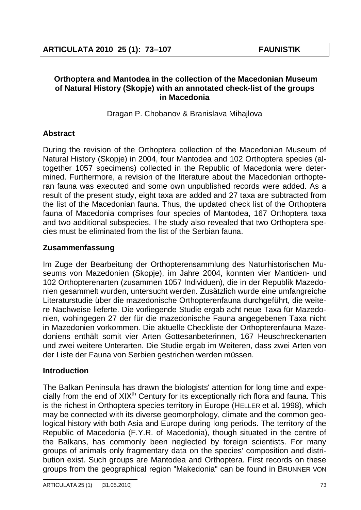## **Orthoptera and Mantodea in the collection of the Macedonian Museum of Natural History (Skopje) with an annotated check-list of the groups in Macedonia**

Dragan P. Chobanov & Branislava Mihajlova

# **Abstract**

During the revision of the Orthoptera collection of the Macedonian Museum of Natural History (Skopje) in 2004, four Mantodea and 102 Orthoptera species (altogether 1057 specimens) collected in the Republic of Macedonia were determined. Furthermore, a revision of the literature about the Macedonian orthopteran fauna was executed and some own unpublished records were added. As a result of the present study, eight taxa are added and 27 taxa are subtracted from the list of the Macedonian fauna. Thus, the updated check list of the Orthoptera fauna of Macedonia comprises four species of Mantodea, 167 Orthoptera taxa and two additional subspecies. The study also revealed that two Orthoptera species must be eliminated from the list of the Serbian fauna.

# **Zusammenfassung**

Im Zuge der Bearbeitung der Orthopterensammlung des Naturhistorischen Museums von Mazedonien (Skopje), im Jahre 2004, konnten vier Mantiden- und 102 Orthopterenarten (zusammen 1057 Individuen), die in der Republik Mazedonien gesammelt wurden, untersucht werden. Zusätzlich wurde eine umfangreiche Literaturstudie über die mazedonische Orthopterenfauna durchgeführt, die weitere Nachweise lieferte. Die vorliegende Studie ergab acht neue Taxa für Mazedonien, wohingegen 27 der für die mazedonische Fauna angegebenen Taxa nicht in Mazedonien vorkommen. Die aktuelle Checkliste der Orthopterenfauna Mazedoniens enthält somit vier Arten Gottesanbeterinnen, 167 Heuschreckenarten und zwei weitere Unterarten. Die Studie ergab im Weiteren, dass zwei Arten von der Liste der Fauna von Serbien gestrichen werden müssen.

# **Introduction**

The Balkan Peninsula has drawn the biologists' attention for long time and expecially from the end of  $XIX<sup>th</sup>$  Century for its exceptionally rich flora and fauna. This is the richest in Orthoptera species territory in Europe (HELLER et al. 1998), which may be connected with its diverse geomorphology, climate and the common geological history with both Asia and Europe during long periods. The territory of the Republic of Macedonia (F.Y.R. of Macedonia), though situated in the centre of the Balkans, has commonly been neglected by foreign scientists. For many groups of animals only fragmentary data on the species' composition and distribution exist. Such groups are Mantodea and Orthoptera. First records on these groups from the geographical region "Makedonia" can be found in BRUNNER VON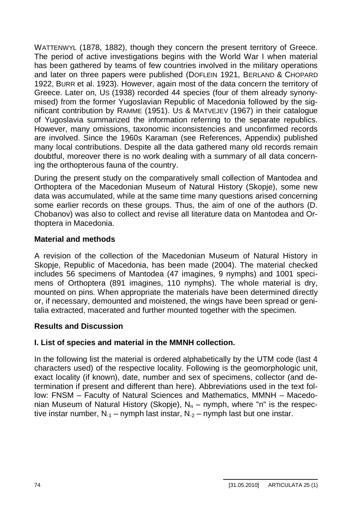WATTENWYL (1878, 1882), though they concern the present territory of Greece. The period of active investigations begins with the World War I when material has been gathered by teams of few countries involved in the military operations and later on three papers were published (DOFLEIN 1921, BERLAND & CHOPARD 1922, BURR et al. 1923). However, again most of the data concern the territory of Greece. Later on, US (1938) recorded 44 species (four of them already synonymised) from the former Yugoslavian Republic of Macedonia followed by the significant contribution by RAMME (1951). US & MATVEJEV (1967) in their catalogue of Yugoslavia summarized the information referring to the separate republics. However, many omissions, taxonomic inconsistencies and unconfirmed records are involved. Since the 1960s Karaman (see References, Appendix) published many local contributions. Despite all the data gathered many old records remain doubtful, moreover there is no work dealing with a summary of all data concerning the orthopterous fauna of the country.

During the present study on the comparatively small collection of Mantodea and Orthoptera of the Macedonian Museum of Natural History (Skopje), some new data was accumulated, while at the same time many questions arised concerning some earlier records on these groups. Thus, the aim of one of the authors (D. Chobanov) was also to collect and revise all literature data on Mantodea and Orthoptera in Macedonia.

# **Material and methods**

A revision of the collection of the Macedonian Museum of Natural History in Skopje, Republic of Macedonia, has been made (2004). The material checked includes 56 specimens of Mantodea (47 imagines, 9 nymphs) and 1001 specimens of Orthoptera (891 imagines, 110 nymphs). The whole material is dry, mounted on pins. When appropriate the materials have been determined directly or, if necessary, demounted and moistened, the wings have been spread or genitalia extracted, macerated and further mounted together with the specimen.

# **Results and Discussion**

# **I. List of species and material in the MMNH collection.**

In the following list the material is ordered alphabetically by the UTM code (last 4 characters used) of the respective locality. Following is the geomorphologic unit, exact locality (if known), date, number and sex of specimens, collector (and determination if present and different than here). Abbreviations used in the text follow: FNSM – Faculty of Natural Sciences and Mathematics, MMNH – Macedonian Museum of Natural History (Skopje),  $N_n$  – nymph, where "n" is the respective instar number,  $N_{-1}$  – nymph last instar,  $N_{-2}$  – nymph last but one instar.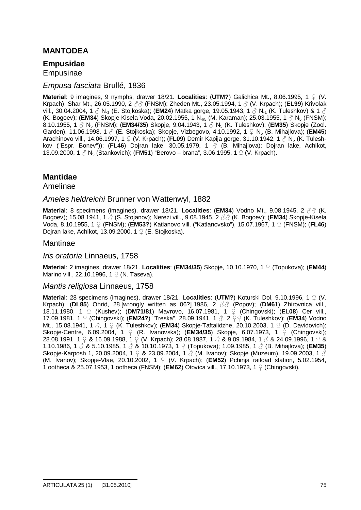### **MANTODEA**

### **Empusidae**

Empusinae

### *Empusa fasciata* Brullé, 1836

**Material:** 9 imagines, 9 nymphs, drawer 18/21. **Localities: (UTM?)** Galichica Mt., 8.06.1995, 1  $\circ$  (V. Krpach); Shar Mt., 26.05.1990, 2 ƃƃ (FNSM); Zheden Mt., 23.05.1994, 1 ƃ (V. Krpach); (**EL99**) Krivolak vill., 30.04.2004, 1  $\beta$  N<sub>-1</sub> (E. Stojkoska); (**EM24**) Matka gorge, 19.05.1943, 1  $\beta$  N<sub>-1</sub> (K. Tuleshkov) & 1  $\beta$ (K. Bogoev); (**EM34**) Skopje-Kisela Voda, 20.02.1955, 1 N<sub>4/5</sub> (M. Karaman); 25.03.1955, 1  $\circ$  N<sub>5</sub> (FNSM); 8.10.1955, 1 ƃ N5 (FNSM); (**EM34/35**) Skopje, 9.04.1943, 1 ƃ N5 (K. Tuleshkov); (**EM35**) Skopje (Zool. Garden), 11.06.1998, 1 3 (E. Stojkoska); Skopje, Vizbegovo, 4.10.1992, 1  $\Omega$  N<sub>5</sub> (B. Mihajlova); (**EM45**) Arachinovo vill., 14.06.1997, 1 ♀ (V. Krpach); (**FL09**) Demir Kapija gorge, 31.10.1942, 1 ♂ N<sub>5</sub> (K. Tuleshkov ("Espr. Bonev")); (**FL46**) Dojran lake, 30.05.1979, 1 ƃ (B. Mihajlova); Dojran lake, Achikot, 13.09.2000, 1  $\circled{S}$  N<sub>5</sub> (Stankovich); (FM51) "Berovo – brana", 3.06.1995, 1  $\circled{P}$  (V. Krpach).

### **Mantidae**

Amelinae

#### *Ameles heldreichi* Brunner von Wattenwyl, 1882

**Material**: 8 specimens (imagines), drawer 18/21. **Localities**: (**EM34**) Vodno Mt., 9.08.1945, 2 ƃƃ (K. Bogoev); 15.08.1941, 1  $\stackrel{\circ}{\wedge}$  (S. Stojanov); Nerezi vill., 9.08.1945, 2  $\stackrel{\circ}{\wedge}$  (K. Bogoev); (**EM34**) Skopje-Kisela Voda, 8.10.1955, 1 Ƃ (FNSM); (**EM53?**) Katlanovo vill. ("Katlanovsko"), 15.07.1967, 1 Ƃ (FNSM); (**FL46**) Doiran lake, Achikot, 13.09.2000, 1  $\mathcal{Q}$  (E. Stoikoska).

#### Mantinae

#### *Iris oratoria* Linnaeus, 1758

**Material**: 2 imagines, drawer 18/21. **Localities**: (**EM34/35**) Skopje, 10.10.1970, 1 Ƃ (Topukova); (**EM44**) Marino vill., 22.10.1996, 1  $\mathcal{Q}$  (N. Taseva).

#### *Mantis religiosa* Linnaeus, 1758

**Material**: 28 specimens (imagines), drawer 18/21. **Localities**: (**UTM?**) Koturski Dol, 9.10.1996, 1 Ƃ (V. Krpach); (**DL85**) Ohrid, 28.[wrongly written as 06?].1986, 2 ƃƃ (Popov); (**DM61**) Zhirovnica vill., 18.11.1980, 1 Ƃ (Kushev); (**DM71/81**) Mavrovo, 16.07.1981, 1 Ƃ (Chingovski); (**EL08**) Cer vill., 17.09.1981, 1  $\circ$  (Chingovski); (**EM24?**) "Treska", 28.09.1941, 1  $\circ$ , 2  $\circ$   $\circ$  (K. Tuleshkov); (**EM34**) Vodno Mt., 15.08.1941, 1 ♂, 1 ♀ (K. Tuleshkov); (**EM34**) Skopje-Taftalidzhe, 20.10.2003, 1 ♀ (D. Davidovich); Skopje-Centre, 6.09.2004, 1 ♀ (R. Ivanovska); (**EM34/35**) Skopje, 6.07.1973, 1 ♀ (Chingovski); 28.08.1991, 1 ♀ & 16.09.1988, 1 ♀ (V. Krpach); 28.08.1987, 1 ♂ & 9.09.1984, 1 ♂ & 24.09.1996, 1 ♀ & 1.10.1986, 1  $\circ$  & 5.10.1985, 1  $\circ$  & 10.10.1973, 1  $\circ$  (Topukova); 1.09.1985, 1  $\circ$  (B. Mihajlova); (**EM35**) Skopje-Karposh 1, 20.09.2004, 1  $\circ$  & 23.09.2004, 1  $\circ$  (M. Ivanov); Skopje (Muzeum), 19.09.2003, 1  $\circ$ (M. Ivanov); Skopje-Vlae, 20.10.2002, 1 Ƃ (V. Krpach); (**EM52**) Pchinja raiload station, 5.02.1954, 1 ootheca & 25.07.1953, 1 ootheca (FNSM); (**EM62**) Otovica vill., 17.10.1973, 1  $\Omega$  (Chingovski).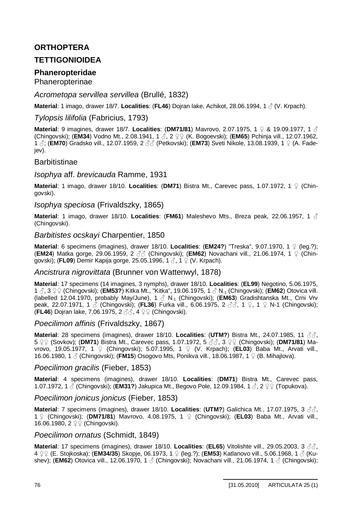## **ORTHOPTERA**

## **TETTIGONIOIDEA**

## **Phaneropteridae**

Phaneropterinae

### *Acrometopa servillea servillea* (Brullé, 1832)

**Material**: 1 imago, drawer 18/7. **Localities**: (**FL46**) Dojran lake, Achikot, 28.06.1994, 1 ƃ (V. Krpach).

### *Tylopsis lilifolia* (Fabricius, 1793)

**Material**: 9 imagines, drawer 18/7. Localities: (DM71/81) Mavrovo, 2.07.1975, 1  $\Omega$  & 19.09.1977, 1  $\Lambda$ (Chingovski); (**EM34**) Vodno Mt., 2.08.1941, 1 ♂, 2 ♀♀ (K. Bogoevski); (**EM65**) Pchinja vill., 12.07.1962, 1  $\beta$ ; (**EM70**) Gradsko vill., 12.07.1959, 2  $\beta\beta$  (Petkovski); (**EM73**) Sveti Nikole, 13.08.1939, 1  $\Omega$  (A. Fadejev).

### **Barbitistinae**

#### *Isophya* aff. *brevicauda* Ramme, 1931

**Material**: 1 imago, drawer 18/10. **Localities**: (**DM71**) Bistra Mt., Carevec pass, 1.07.1972, 1 Ƃ (Chingovski).

### *Isophya speciosa* (Frivaldszky, 1865)

**Material**: 1 imago, drawer 18/10. **Localities**: (**FM61**) Maleshevo Mts., Breza peak, 22.06.1957, 1 ƃ (Chingovski).

#### *Barbitistes ocskayi* Charpentier, 1850

**Material**: 6 specimens (imagines), drawer 18/10. **Localities**: (**EM24?**) "Treska", 9.07.1970, 1 Ƃ (leg.?); **(EM24)** Matka gorge, 29.06.1959, 2 ♂ (Chingovski); (EM62) Novachani vill., 21.06.1974, 1 ♀ (Chingovski); (**FL09**) Demir Kapija gorge, 25.05.1996, 1 ƃ, 1 Ƃ (V. Krpach).

#### *Ancistrura nigrovittata* (Brunner von Wattenwyl, 1878)

**Material**: 17 specimens (14 imagines, 3 nymphs), drawer 18/10. **Localities**: (**EL99**) Negotino, 5.06.1975, 1 ♂, 3 ♀♀ (Chingovski); (**EM53?**) Kitka Mt., "Kitka", 19.06.1975, 1 ♂ N<sub>-1</sub> (Chingovski); (**EM62**) Otovica vill. (labelled 12.04.1970, probably May/June), 1 ƃ N-1 (Chingovski); (**EM63**) Gradishtanska Mt., Crni Vrv peak, 22.07.1971, 1  $\hat{\circ}$  (Chingovski); (FL36) Furka vill., 6.06.1975, 2  $\hat{\circ}\hat{\circ}$ , 1  $\circ$ , 1  $\circ$  N-1 (Chingovski); **(FL46**) Dojran lake, 7.06.1975, 2 33, 4 9 9 (Chingovski).

#### *Poecilimon affinis* (Frivaldszky, 1867)

**Material:** 28 specimens (imagines), drawer 18/10. **Localities: (UTM?)** Bistra Mt., 24.07.1985, 11 33. 5  $\Sigma$  (Sovkov); (DM71) Bistra Mt., Carevec pass, 1.07.1972, 5  $\partial\bar{\partial}$ , 3  $\Sigma$  (Chingovski); (DM71/81) Mavrovo, 19.05.1977, 1  $\circ$  (Chingovski); 5.07.1995, 1  $\circ$  (V. Krpach); (**EL03**) Baba Mt., Arvati vill., 16.06.1980, 1 ƃ (Chingovski); (**FM15**) Osogovo Mts, Ponikva vill., 18.06.1987, 1 Ƃ (B. Mihajlova).

#### *Poecilimon gracilis* (Fieber, 1853)

**Material**: 4 specimens (imagines), drawer 18/10. **Localities**: (**DM71**) Bistra Mt., Carevec pass, 1.07.1972, 1 ♂ (Chingovski); (**EM31?**) Jakupica Mt., Begovo Pole, 12.09.1984, 1 ♂, 2 ♀♀ (Topukova).

#### *Poecilimon jonicus jonicus* (Fieber, 1853)

**Material:** 7 specimens (imagines), drawer 18/10. Localities: (UTM?) Galichica Mt., 17.07.1975, 3 3. 1 Ƃ (Chingovski); (**DM71/81**) Mavrovo, 4.08.1975, 1 Ƃ (Chingovski); (**EL03**) Baba Mt., Arvati vill., 16.06.1980, 2  $2$  (Chingovski).

#### *Poecilimon ornatus* (Schmidt, 1849)

**Material:** 17 specimens (imagines), drawer 18/10. **Localities: (EL65)** Vitolishte vill., 29.05.2003, 3 3, 4 ƂƂ (E. Stojkoska); (**EM34/35**) Skopje, 06.1973, 1 Ƃ (leg.?); (**EM53**) Katlanovo vill., 5.06.1968, 1 ƃ (Kushev); (**EM62**) Otovica vill., 12.06.1970, 1 3 (Chingovski); Novachani vill., 21.06.1974, 1 3 (Chingovski);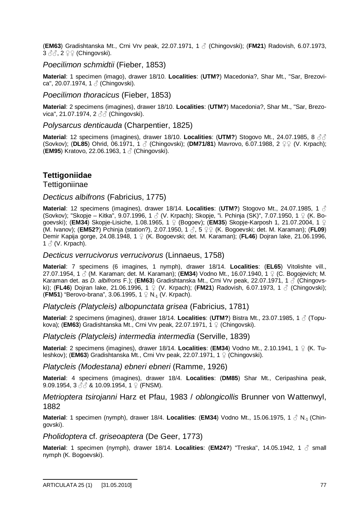(**EM63**) Gradishtanska Mt., Crni Vrv peak, 22.07.1971, 1 ƃ (Chingovski); (**FM21**) Radovish, 6.07.1973,  $3 \text{ }\partial\phi$ ,  $2 \text{ }\mathcal{Q} \mathcal{Q}$  (Chingovski).

#### *Poecilimon schmidtii* (Fieber, 1853)

**Material**: 1 specimen (imago), drawer 18/10. **Localities**: (**UTM?**) Macedonia?, Shar Mt., "Sar, Brezovica", 20.07.1974, 1 ƃ (Chingovski).

#### *Poecilimon thoracicus* (Fieber, 1853)

**Material**: 2 specimens (imagines), drawer 18/10. **Localities**: (**UTM?**) Macedonia?, Shar Mt., "Sar, Brezovica", 21.07.1974, 2 3 ₹ (Chingovski).

### *Polysarcus denticauda* (Charpentier, 1825)

**Material:** 12 specimens (imagines), drawer 18/10. **Localities: (UTM?)** Stogovo Mt., 24.07.1985, 8 33 (Sovkov); (**DL85**) Ohrid, 06.1971, 1 ♂ (Chingovski); (**DM71/81**) Mavrovo, 6.07.1988, 2 ♀♀ (V. Krpach); (**EM95**) Kratovo, 22.06.1963, 1 ƃ (Chingovski).

## **Tettigoniidae**

**Tettigoniinae** 

### *Decticus albifrons* (Fabricius, 1775)

**Material**: 12 specimens (imagines), drawer 18/14. **Localities**: (**UTM?**) Stogovo Mt., 24.07.1985, 1 ƃ (Sovkov); "Skopje – Kitka", 9.07.1996, 1  $\beta$  (V. Krpach); Skopje, "i. Pchinja (SK)", 7.07.1950, 1  $\Omega$  (K. Bogoevski); (EM34) Skopje-Lisiche, 1.08.1965, 1  $\Omega$  (Bogoev); (EM35) Skopje-Karposh 1, 21.07.2004, 1  $\Omega$ (M. Ivanov); (**EM52?**) Pchinja (station?), 2.07.1950, 1 ƃ, 5 ƂƂ (K. Bogoevski; det. M. Karaman); (**FL09**) Demir Kapija gorge, 24.08.1948, 1 Ƃ (K. Bogoevski; det. M. Karaman); (**FL46**) Dojran lake, 21.06.1996,  $1 \land (V.$  Krpach).

#### *Decticus verrucivorus verrucivorus* (Linnaeus, 1758)

**Material**: 7 specimens (6 imagines, 1 nymph), drawer 18/14. **Localities**: (**EL65**) Vitolishte vill., 27.07.1954, 1 ƃ (M. Karaman; det. M. Karaman); (**EM34**) Vodno Mt., 16.07.1940, 1 Ƃ (C. Bogojevich; M. Karaman det. as *D. albifrons* F.); (**EM63**) Gradishtanska Mt., Crni Vrv peak, 22.07.1971, 1 ƃ (Chingovski); (FL46) Dojran lake, 21.06.1996, 1 ♀ (V. Krpach); (FM21) Radovish, 6.07.1973, 1 *ふ* (Chingovski); (FM51) "Berovo-brana", 3.06.1995, 1  $\Omega$  N<sub>-1</sub> (V. Krpach).

*Platycleis (Platycleis) albopunctata grisea* (Fabricius, 1781)

**Material**: 2 specimens (imagines), drawer 18/14. **Localities**: (**UTM?**) Bistra Mt., 23.07.1985, 1 ƃ (Topukova); (**EM63**) Gradishtanska Mt., Crni Vrv peak, 22.07.1971, 1  $\circ$  (Chingovski).

*Platycleis (Platycleis) intermedia intermedia* (Serville, 1839)

**Material**: 2 specimens (imagines), drawer 18/14. **Localities**: (**EM34**) Vodno Mt., 2.10.1941, 1 Ƃ (K. Tuleshkov); (**EM63**) Gradishtanska Mt., Crni Vrv peak, 22.07.1971, 1  $\Omega$  (Chingovski).

*Platycleis (Modestana) ebneri ebneri* (Ramme, 1926)

**Material**: 4 specimens (imagines), drawer 18/4. **Localities**: (**DM85**) Shar Mt., Ceripashina peak, 9.09.1954, 3  $\Im$  & 10.09.1954, 1  $\Im$  (FNSM).

*Metrioptera tsirojanni* Harz et Pfau, 1983 / *oblongicollis* Brunner von Wattenwyl, 1882

**Material**: 1 specimen (nymph), drawer 18/4. **Localities**: (**EM34**) Vodno Mt., 15.06.1975, 1 ƃ N-1 (Chingovski).

*Pholidoptera* cf. *griseoaptera* (De Geer, 1773)

**Material**: 1 specimen (nymph), drawer 18/14. **Localities**: (**EM24?**) "Treska", 14.05.1942, 1 ƃ small nymph (K. Bogoevski).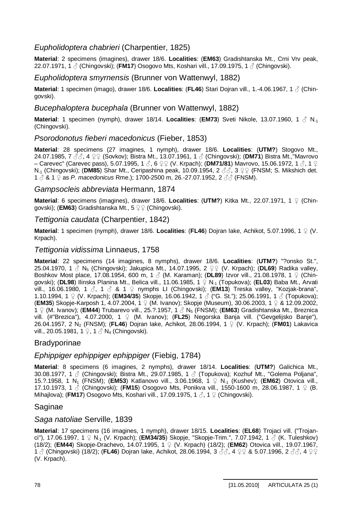### *Eupholidoptera chabrieri* (Charpentier, 1825)

**Material**: 2 specimens (imagines), drawer 18/6. **Localities**: (**EM63**) Gradishtanska Mt., Crni Vrv peak, 22.07.1971, 1 ♂ (Chingovski); (**FM17**) Osogovo Mts, Koshari vill., 17.09.1975, 1 ♂ (Chingovski).

### *Eupholidoptera smyrnensis* (Brunner von Wattenwyl, 1882)

**Material**: 1 specimen (imago), drawer 18/6. **Localities**: (**FL46**) Stari Dojran vill., 1.-4.06.1967, 1 ƃ (Chingovski).

### *Bucephaloptera bucephala* (Brunner von Wattenwyl, 1882)

**Material**: 1 specimen (nymph), drawer 18/14. **Localities: (EM73)** Sveti Nikole, 13.07.1960, 1 ♂ N<sub>-1</sub> (Chingovski).

### *Psorodonotus fieberi macedonicus* (Fieber, 1853)

**Material**: 28 specimens (27 imagines, 1 nymph), drawer 18/6. **Localities**: (**UTM?**) Stogovo Mt., 24.07.1985, 7 ♂♂, 4 ♀♀ (Sovkov); Bistra Mt., 13.07.1961, 1 ♂ (Chingovski); (DM71) Bistra Mt.,"Mavrovo  $-$  Carevec" (Carevec pass), 5.07.1995, 1 3, 6 ♀♀ (V. Krpach); (DM71/81) Mavrovo, 15.06.1972, 1 3, 1 ♀ N<sub>-1</sub> (Chingovski); (DM85) Shar Mt., Ceripashina peak, 10.09.1954, 2  $\partial \bar{\partial}$ , 3  $\Omega$  (FNSM; S. Mikshich det. 1  $\delta$  & 1  $\Omega$  as *P. macedonicus* Rme.); 1700-2500 m, 26.-27.07.1952, 2  $\delta\delta$  (FNSM).

### *Gampsocleis abbreviata* Hermann, 1874

**Material**: 6 specimens (imagines), drawer 18/6. **Localities**: (**UTM?**) Kitka Mt., 22.07.1971, 1 Ƃ (Chingovski); (**EM63**) Gradishtanska Mt., 5  $\mathcal{Q} \mathcal{Q}$  (Chingovski).

#### *Tettigonia caudata* (Charpentier, 1842)

**Material**: 1 specimen (nymph), drawer 18/6. **Localities**: (**FL46**) Dojran lake, Achikot, 5.07.1996, 1 Ƃ (V. Krpach).

### *Tettigonia vidissima* Linnaeus, 1758

**Material**: 22 specimens (14 imagines, 8 nymphs), drawer 18/6. **Localities**: (**UTM?**) "?onsko St.", 25.04.1970, 1  $\stackrel{?}{\circ}$  N<sub>5</sub> (Chingovski); Jakupica Mt., 14.07.1995, 2  $\supseteq$  (V. Krpach); (DL69) Radika valley, Boshkov Most place, 17.08.1954, 600 m, 1 ƃ (M. Karaman); (**DL89**) Izvor vill., 21.08.1978, 1 Ƃ (Chingovski); (**DL98**) Ilinska Planina Mt., Belica vill., 11.06.1985, 1 Ƃ N-1 (Topukova); (**EL03**) Baba Mt., Arvati vill., 16.06.1980, 1 3, 1 3 & 1 ♀ nymphs LI (Chingovski); (**EM13**) Treska valley, "Kozjak-brana", 1.10.1994, 1 ♀ (V. Krpach); (**EM34/35**) Skopje, 16.06.1942, 1 ♂ ("G. St."); 25.06.1991, 1 ♂ (Topukova); (**EM35**) Skopje-Karposh 1, 4.07.2004, 1 Ƃ (M. Ivanov); Skopje (Museum), 30.06.2003, 1 Ƃ & 12.09.2002, 1  $\varphi$  (M. Ivanov); (EM44) Trubarevo vill., 25.?.1957, 1  $\mathcal{S}$  N<sub>5</sub> (FNSM); (EM63) Gradishtanska Mt., Breznica vill. (#"Brezica"), 4.07.2000, 1  $\varphi$  (M. Ivanov); (FL25) Negorska Banja vill. ("Gevgelijsko Banje"), 26.04.1957, 2 N2 (FNSM); (**FL46**) Dojran lake, Achikot, 28.06.1994, 1 Ƃ (V. Krpach); (**FM01**) Lakavica vill., 20.05.1981, 1  $\circ$ , 1  $\circ$  N<sub>4</sub> (Chingovski).

### **Bradyporinae**

### *Ephippiger ephippiger ephippiger* (Fiebig, 1784)

**Material**: 8 specimens (6 imagines, 2 nymphs), drawer 18/14. **Localities**: (**UTM?**) Galichica Mt., 30.08.1977, 1  $\circ$  (Chingovski); Bistra Mt., 29.07.1985, 1  $\circ$  (Topukova); Kozhuf Mt., "Golema Poliana", 15.?.1958, 1 N1 (FNSM); (**EM53**) Katlanovo vill., 3.06.1968, 1 Ƃ N-1 (Kushev); (**EM62**) Otovica vill., 17.10.1973, 1  $\circ$  (Chingovski); (FM15) Osogovo Mts, Ponikva vill., 1550-1600 m, 28.06.1987, 1  $\circ$  (B. Mihajlova); (**FM17**) Osogovo Mts, Koshari vill., 17.09.1975, 1  $\beta$ , 1  $\Omega$  (Chingovski).

#### Saginae

#### *Saga natoliae* Serville, 1839

**Material**: 17 specimens (16 imagines, 1 nymph), drawer 18/15. **Localities**: (**EL68**) Trojaci vill. ("Trojanci"), 17.06.1997, 1 ♀ N<sub>-1</sub> (V. Krpach); (**EM34/35**) Skopje, "Skopje-Trim.", 7.07.1942, 1 ♂ (K. Tuleshkov) (18/2); (**EM44**) Skopje-Drachevo, 14.07.1995, 1 Ƃ (V. Krpach) (18/2); (**EM62**) Otovica vill., 19.07.1967, 1  $\beta$  (Chingovski) (18/2); (**FL46**) Dojran lake, Achikot, 28.06.1994, 3  $\beta\beta$ , 4  $\varphi\varphi$  & 5.07.1996, 2  $\beta\beta$ , 4  $\varphi\varphi$ (V. Krpach).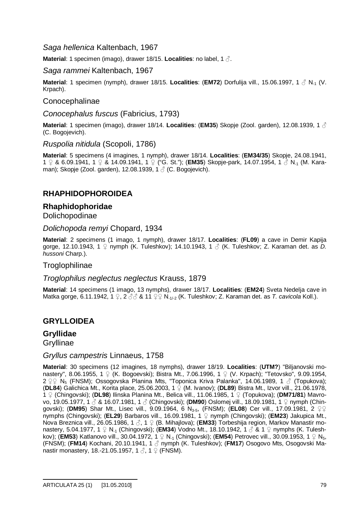### *Saga hellenica* Kaltenbach, 1967

**Material:** 1 specimen (imago), drawer 18/15. **Localities**: no label, 1  $\delta$ .

#### *Saga rammei* Kaltenbach, 1967

**Material**: 1 specimen (nymph), drawer 18/15. **Localities**: (**EM72**) Dorfulija vill., 15.06.1997, 1 ƃ N-1 (V. Krpach).

### Conocephalinae

#### *Conocephalus fuscus* (Fabricius, 1793)

**Material**: 1 specimen (imago), drawer 18/14. **Localities**: (**EM35**) Skopje (Zool. garden), 12.08.1939, 1 ƃ (C. Bogojevich).

#### *Ruspolia nitidula* (Scopoli, 1786)

**Material**: 5 specimens (4 imagines, 1 nymph), drawer 18/14. **Localities**: (**EM34/35**) Skopje, 24.08.1941, 1  $\Omega$  & 6.09.1941, 1  $\Omega$  & 14.09.1941, 1  $\Omega$  ("G. St."); (**EM35**) Skopje-park, 14.07.1954, 1  $\delta$  N<sub>-1</sub> (M. Karaman); Skopje (Zool. garden), 12.08.1939,  $1 \land$  (C. Bogojevich).

## **RHAPHIDOPHOROIDEA**

#### **Rhaphidophoridae** Dolichopodinae

*Dolichopoda remyi* Chopard, 1934

**Material**: 2 specimens (1 imago, 1 nymph), drawer 18/17. **Localities**: (**FL09**) a cave in Demir Kapija gorge, 12.10.1943, 1 ♀ nymph (K. Tuleshkov); 14.10.1943, 1 ♂ (K. Tuleshkov; Z. Karaman det. as *D. hussoni* Charp.).

#### Troglophilinae

#### *Troglophilus neglectus neglectus* Krauss, 1879

**Material**: 14 specimens (1 imago, 13 nymphs), drawer 18/17. **Localities**: (**EM24**) Sveta Nedelja cave in Matka gorge, 6.11.1942, 1 ♀, 2 *♂* & 11 ♀♀ N<sub>-1/-2</sub> (K. Tuleshkov; Z. Karaman det. as *T. cavicola* Koll.).

### **GRYLLOIDEA**

# **Gryllidae**

**Gryllinae** 

#### *Gryllus campestris* Linnaeus, 1758

**Material**: 30 specimens (12 imagines, 18 nymphs), drawer 18/19. **Localities**: (**UTM?**) "Biljanovski monastery", 8.06.1955, 1  $\Omega$  (K. Bogoevski); Bistra Mt., 7.06.1996, 1  $\Omega$  (V. Krpach); "Tetovsko", 9.09.1954, 2  $2$   $2$  N<sub>5</sub> (FNSM); Ossogovska Planina Mts, "Toponica Kriva Palanka", 14.06.1989, 1  $\beta$  (Topukova); (**DL84**) Galichica Mt., Korita place, 25.06.2003, 1 Ƃ (M. Ivanov); (**DL89**) Bistra Mt., Izvor vill., 21.06.1978, 1  $\Omega$  (Chingovski); (DL98) Ilinska Planina Mt., Belica vill., 11.06.1985, 1  $\Omega$  (Topukova); (DM71/81) Mavrovo, 19.05.1977, 1 3 & 16.07.1981, 1 3 (Chingovski); (DM90) Oslomej vill., 18.09.1981, 1 ♀ nymph (Chingovski); (DM95) Shar Mt., Lisec vill., 9.09.1964, 6 N<sub>3-5</sub>, (FNSM); (EL08) Cer vill., 17.09.1981, 2 ♀♀ nymphs (Chingovski); (**EL29**) Barbaros vill., 16.09.1981, 1  $\Omega$  nymph (Chingovski); (**EM23**) Jakupica Mt., Nova Breznica vill., 26.05.1986, 1 3, 1 ♀ (B. Mihajlova); (**EM33**) Torbeshija region, Markov Manastir monastery, 5.04.1977, 1 ♀ N<sub>-1</sub> (Chingovski); (**EM34**) Vodno Mt., 18.10.1942, 1 ♂ & 1 ♀ nymphs (K. Tuleshkov); (**EM53**) Katlanovo vill., 30.04.1972, 1  $\Omega$  N<sub>-1</sub> (Chingovski); (**EM54**) Petrovec vill., 30.09.1953, 1  $\Omega$  N<sub>5</sub>, (FNSM); (**FM14**) Kochani, 20.10.1941, 1 ƃ nymph (K. Tuleshkov); (**FM17**) Osogovo Mts, Osogovski Manastir monastery, 18.-21.05.1957, 1 $\beta$ , 1  $\Omega$  (FNSM).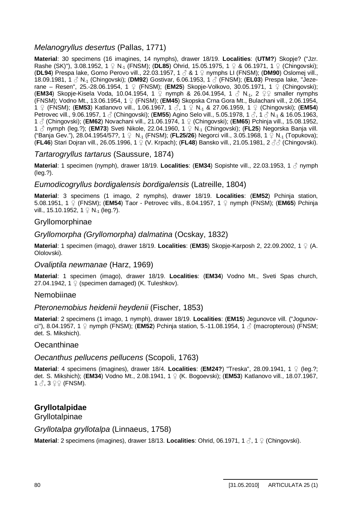## *Melanogryllus desertus* (Pallas, 1771)

**Material**: 30 specimens (16 imagines, 14 nymphs), drawer 18/19. **Localities**: (**UTM?**) Skopje? ("Jzr. Rashe (SK)"), 3.08.1952,  $1 \nsubseteq N_{-1}$  (FNSM); (**DL85**) Ohrid, 15.05.1975,  $1 \nsubseteq \mathcal{R}$  06.1971,  $1 \nsubseteq$  (Chingovski); (**DL94**) Prespa lake, Gorno Perovo vill., 22.03.1957, 1 ƃ & 1 Ƃ nymphs LI (FNSM); (**DM90**) Oslomej vill., 18.09.1981, 1 ƃ N-1 (Chingovski); (**DM92**) Gostivar, 6.06.1953, 1 ƃ (FNSM); (**EL03**) Prespa lake, "Jezerane – Resen", 25.-28.06.1954, 1  $\circ$  (FNSM); (**EM25**) Skopje-Volkovo, 30.05.1971, 1  $\circ$  (Chingovski); **(EM34)** Skopje-Kisela Voda, 10.04.1954, 1 ♀ nymph & 26.04.1954, 1 ♂ N<sub>-1</sub>, 2 ♀♀ smaller nymphs (FNSM); Vodno Mt., 13.06.1954, 1 Ƃ (FNSM); (**EM45**) Skopska Crna Gora Mt., Bulachani vill., 2.06.1954, 1  $\varphi$  (FNSM); (**EM53**) Katlanovo vill., 1.06.1967, 1  $\beta$ , 1  $\varphi$  N<sub>-1</sub> & 27.06.1959, 1  $\varphi$  (Chingovski); (**EM54**) Petrovec vill., 9.06.1957, 1 ♂ (Chingovski); (**EM55**) Agino Selo vill., 5.05.1978, 1 ♂, 1 ♂ N<sub>-1</sub> & 16.05.1963, 1 ƃ (Chingovski); (**EM62**) Novachani vill., 21.06.1974, 1 Ƃ (Chingovski); (**EM65**) Pchinja vill., 15.08.1952, 1  $\circ$  nymph (leg.?); (**EM73**) Sveti Nikole, 22.04.1960, 1  $\circ$  N<sub>-1</sub> (Chingovski); (**FL25**) Negorska Banja vill. ("Banja Gev."), 28.04.1954/57?, 1 ♀ N<sub>-1</sub> (FNSM); (**FL25/26**) Negorci vill., 3.05.1968, 1 ♀ N<sub>-1</sub> (Topukova); (**FL46**) Stari Dojran vill., 26.05.1996, 1 ♀ (V. Krpach); (FL48) Bansko vill., 21.05.1981, 2 33 (Chingovski).

### *Tartarogryllus tartarus* (Saussure, 1874)

**Material**: 1 specimen (nymph), drawer 18/19. **Localities**: (**EM34**) Sopishte vill., 22.03.1953, 1 ƃ nymph (leg.?).

### *Eumodicogryllus bordigalensis bordigalensis* (Latreille, 1804)

**Material**: 3 specimens (1 imago, 2 nymphs), drawer 18/19. **Localities**: (**EM52**) Pchinja station, 5.08.1951, 1 Ƃ (FNSM); (**EM54**) Taor - Petrovec vills., 8.04.1957, 1 Ƃ nymph (FNSM); (**EM65**) Pchinja vill., 15.10.1952, 1  $\Omega$  N<sub>-1</sub> (leg.?).

### Gryllomorphinae

#### *Gryllomorpha (Gryllomorpha) dalmatina* (Ocskay, 1832)

**Material**: 1 specimen (imago), drawer 18/19. **Localities**: (**EM35**) Skopje-Karposh 2, 22.09.2002, 1 Ƃ (A. Ololovski).

#### *Ovaliptila newmanae* (Harz, 1969)

**Material**: 1 specimen (imago), drawer 18/19. **Localities**: (**EM34**) Vodno Mt., Sveti Spas church, 27.04.1942, 1  $\Omega$  (specimen damaged) (K. Tuleshkov).

#### Nemobiinae

#### *Pteronemobius heidenii heydenii* (Fischer, 1853)

**Material**: 2 specimens (1 imago, 1 nymph), drawer 18/19. **Localities**: (**EM15**) Jegunovce vill. ("Jogunovci"), 8.04.1957, 1 ♀ nymph (FNSM); (**EM52**) Pchinja station, 5.-11.08.1954, 1 ♂ (macropterous) (FNSM; det. S. Mikshich).

#### **Oecanthinae**

#### *Oecanthus pellucens pellucens* (Scopoli, 1763)

**Material:** 4 specimens (imagines), drawer 18/4. **Localities: (EM24?)** "Treska", 28.09.1941, 1  $\Omega$  (leg.?; det. S. Mikshich); (**EM34**) Vodno Mt., 2.08.1941, 1 Ƃ (K. Bogoevski); (**EM53**) Katlanovo vill., 18.07.1967,  $1 \land 3 \circ 9$  (FNSM).

## **Gryllotalpidae**

**Gryllotalpinae** 

*Gryllotalpa gryllotalpa* (Linnaeus, 1758)

**Material**: 2 specimens (imagines), drawer 18/13. Localities: Ohrid, 06.1971, 1  $\beta$ , 1  $\Omega$  (Chingovski).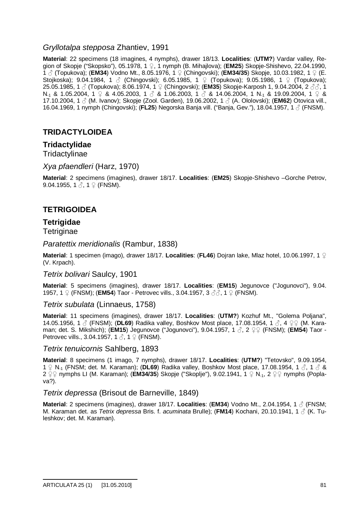### *Gryllotalpa stepposa* Zhantiev, 1991

**Material**: 22 specimens (18 imagines, 4 nymphs), drawer 18/13. **Localities**: (**UTM?**) Vardar valley, Region of Skopje ("Skopsko"), 05.1978, 1 Ƃ, 1 nymph (B. Mihajlova); (**EM25**) Skopje-Shishevo, 22.04.1990, 1 ƃ (Topukova); (**EM34**) Vodno Mt., 8.05.1976, 1 Ƃ (Chingovski); (**EM34/35**) Skopje, 10.03.1982, 1 Ƃ (E. Stojkoska); 9.04.1984, 1  $\Im$  (Chingovski); 6.05.1985, 1  $\Im$  (Topukova); 9.05.1986, 1  $\Im$  (Topukova); 25.05.1985, 1 ♂ (Topukova); 8.06.1974, 1 ♀ (Chingovski); **(EM35)** Skopje-Karposh 1, 9.04.2004, 2 ♂ೆ, 1 N  $_1$  & 1.05.2004, 1  $\cneq$  & 4.05.2003, 1  $\c{<}$  & 1.06.2003, 1  $\c{<}$  & 14.06.2004, 1 N  $_1$  & 19.09.2004, 1  $\c{o}$  & 17.10.2004, 1 ƃ (M. Ivanov); Skopje (Zool. Garden), 19.06.2002, 1 ƃ (A. Ololovski); (**EM62**) Otovica vill., 16.04.1969, 1 nymph (Chingovski); (**FL25**) Negorska Banja vill. ("Banja, Gev."), 18.04.1957, 1 ƃ (FNSM).

## **TRIDACTYLOIDEA**

### **Tridactylidae**

**Tridactylinae** 

*Xya pfaendleri* (Harz, 1970)

**Material**: 2 specimens (imagines), drawer 18/17. **Localities**: (**EM25**) Skopje-Shishevo –Gorche Petrov, 9.04.1955, 1  $\&$ , 1  $\&$  (FNSM).

## **TETRIGOIDEA**

## **Tetrigidae**

**Tetriginae** 

*Paratettix meridionalis* (Rambur, 1838)

**Material**: 1 specimen (imago), drawer 18/17. **Localities**: (**FL46**) Dojran lake, Mlaz hotel, 10.06.1997, 1 Ƃ (V. Krpach).

#### *Tetrix bolivari* Saulcy, 1901

**Material**: 5 specimens (imagines), drawer 18/17. **Localities**: (**EM15**) Jegunovce ("Jogunovci"), 9.04. 1957, 1  $\circ$  (FNSM); (**EM54**) Taor - Petrovec vills., 3.04.1957, 3  $\circ$   $\circ$ , 1  $\circ$  (FNSM).

*Tetrix subulata* (Linnaeus, 1758)

**Material**: 11 specimens (imagines), drawer 18/17. **Localities**: (**UTM?**) Kozhuf Mt., "Golema Poljana", 14.05.1956, 1  $\beta$  (FNSM); (DL69) Radika valley, Boshkov Most place, 17.08.1954, 1  $\beta$ , 4  $\Omega$  (M. Karaman; det. S. Mikshich); (**EM15**) Jegunovce ("Jogunovci"), 9.04.1957, 1 3, 2 ♀♀ (FNSM); (**EM54**) Taor -Petrovec vills., 3.04.1957, 1  $\delta$ , 1  $\Omega$  (FNSM).

#### *Tetrix tenuicornis* Sahlberg, 1893

**Material**: 8 specimens (1 imago, 7 nymphs), drawer 18/17. **Localities**: (**UTM?**) "Tetovsko", 9.09.1954, 1  $\Omega$  N<sub>-1</sub> (FNSM; det. M. Karaman); (**DL69**) Radika valley, Boshkov Most place, 17.08.1954, 1  $\beta$ , 1  $\beta$  & 2  $\Omega$  o nymphs LI (M. Karaman); (**EM34/35**) Skopje ("Skoplje"), 9.02.1941, 1  $\Omega$  N<sub>-1</sub>, 2  $\Omega$  nymphs (Poplava?).

#### *Tetrix depressa* (Brisout de Barneville, 1849)

**Material**: 2 specimens (imagines), drawer 18/17. **Localities**: (**EM34**) Vodno Mt., 2.04.1954, 1 ƃ (FNSM; M. Karaman det. as *Tetrix depressa* Bris. f. *acuminata* Brulle); (**FM14**) Kochani, 20.10.1941, 1 ƃ (K. Tuleshkov; det. M. Karaman).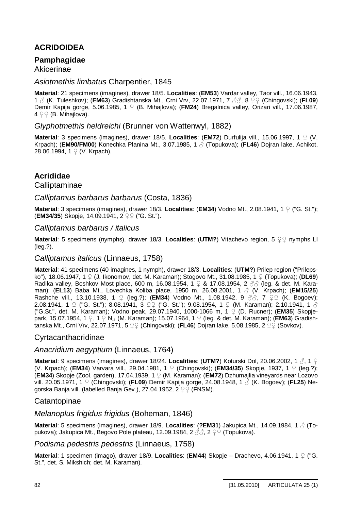# **ACRIDOIDEA**

## **Pamphagidae**

### Akicerinae

### *Asiotmethis limbatus* Charpentier, 1845

**Material**: 21 specimens (imagines), drawer 18/5. **Localities**: (**EM53**) Vardar valley, Taor vill., 16.06.1943, 1  $\beta$  (K. Tuleshkov); (**EM63**) Gradishtanska Mt., Crni Vrv, 22.07.1971, 7  $\beta\beta$ , 8  $\Omega\Omega$  (Chingovski); (FL09) Demir Kapija gorge, 5.06.1985, 1  $\circ$  (B. Mihajlova); (FM24) Bregalnica valley, Orizari vill., 17.06.1987,  $4 \nsubseteq \nsubseteq$  (B. Mihajlova).

### *Glyphotmethis heldreichi* (Brunner von Wattenwyl, 1882)

**Material:** 3 specimens (imagines), drawer 18/5. **Localities: (EM72)** Durfulija vill., 15.06.1997, 1  $\Omega$  (V. Krpach); (**EM90/FM00**) Konechka Planina Mt., 3.07.1985, 1 ƃ (Topukova); (**FL46**) Dojran lake, Achikot, 28.06.1994,  $1 \nsubseteq (V.$  Krpach).

## **Acrididae**

### Calliptaminae

### *Calliptamus barbarus barbarus* (Costa, 1836)

**Material**: 3 specimens (imagines), drawer 18/3. **Localities**: (**EM34**) Vodno Mt., 2.08.1941, 1 Ƃ ("G. St."); **(EM34/35)** Skopje, 14.09.1941, 2 2 2 ("G. St.").

### *Calliptamus barbarus / italicus*

**Material**: 5 specimens (nymphs), drawer 18/3. Localities: (UTM?) Vitachevo region, 5  $\Omega$  nymphs LI (leg.?).

### *Calliptamus italicus* (Linnaeus, 1758)

**Material**: 41 specimens (40 imagines, 1 nymph), drawer 18/3. **Localities**: (**UTM?**) Prilep region ("Prilepsko"), 18.06.1947, 1 \pm (J. Ikonomov, det. M. Karaman); Stogovo Mt., 31.08.1985, 1 \pm (Topukova); (**DL69**) Radika valley, Boshkov Most place, 600 m, 16.08.1954,  $1 \nsubseteq \& 17.08.1954$ , 2  $\partial \partial$  (leg. & det. M. Karaman); (**EL13**) Baba Mt., Lovechka Koliba place, 1950 m, 26.08.2001, 1 ƃ (V. Krpach); (**EM15/25**) Rashche vill., 13.10.1938, 1  $\circ$  (leg.?); (**EM34**) Vodno Mt., 1.08.1942, 9  $\circ \circ \circ$ , 7  $\circ \circ$  (K. Bogoev); 2.08.1941, 1  $\circ$  ("G. St."); 8.08.1941, 3  $\circ\circ\circ$  ("G. St."); 9.08.1954, 1  $\circ\circ$  (M. Karaman); 2.10.1941, 1  $\circ\circ$ ("G.St.", det. M. Karaman); Vodno peak, 29.07.1940, 1000-1066 m, 1  $\circ$  (D. Rucner); (**EM35**) Skopjepark, 15.07.1954, 1  $\Omega$ , 1  $\Omega$  N<sub>-1</sub> (M. Karaman); 15.07.1964, 1  $\Omega$  (leg. & det. M. Karaman); (**EM63**) Gradishtanska Mt., Crni Vrv, 22.07.1971, 5  $\mathcal{Q}$  (Chingovski); (FL46) Dojran lake, 5.08.1985, 2  $\mathcal{Q} \mathcal{Q}$  (Sovkov).

### Cyrtacanthacridinae

### *Anacridium aegyptium* (Linnaeus, 1764)

**Material**: 9 specimens (imagines), drawer 18/24. **Localities: (UTM?)** Koturski Dol, 20.06.2002, 1  $\beta$ , 1  $\beta$ (V. Krpach); (**EM34**) Varvara vill., 29.04.1981, 1 Ƃ (Chingovski); (**EM34/35**) Skopje, 1937, 1 Ƃ (leg.?); (**EM34**) Skopje (Zool. garden), 17.04.1939, 1 Ƃ (M. Karaman); (**EM72**) Dzhumajlia vineyards near Lozovo vill. 20.05.1971, 1 Ƃ (Chingovski); (**FL09**) Demir Kapija gorge, 24.08.1948, 1 ƃ (K. Bogoev); (**FL25**) Negorska Banja vill. (labelled Banja Gev.), 27.04.1952, 2  $99$  (FNSM).

### **Catantopinae**

### *Melanoplus frigidus frigidus* (Boheman, 1846)

**Material**: 5 specimens (imagines), drawer 18/9. **Localities**: (**?EM31**) Jakupica Mt., 14.09.1984, 1 ƃ (Topukova); Jakupica Mt., Begovo Pole plateau, 12.09.1984, 2  $\partial\mathcal{S}$ , 2  $\Omega$  (Topukova).

### *Podisma pedestris pedestris* (Linnaeus, 1758)

**Material**: 1 specimen (imago), drawer 18/9. **Localities**: (**EM44**) Skopje – Drachevo, 4.06.1941, 1 Ƃ ("G. St.", det. S. Mikshich; det. M. Karaman).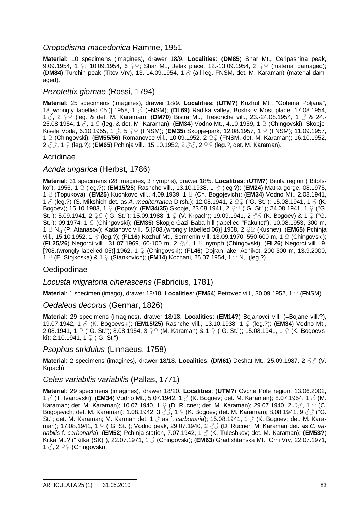### *Oropodisma macedonica* Ramme, 1951

**Material**: 10 specimens (imagines), drawer 18/9. **Localities**: (**DM85**) Shar Mt., Ceripashina peak, 9.09.1954, 1  $\Omega$ ; 10.09.1954, 6  $\Omega$ , Shar Mt., Jelak place, 12.-13.09.1954, 2  $\Omega$  (material damaged); **(DM84)** Turchin peak (Titov Vrv), 13.-14.09.1954, 1  $\hat{\wedge}$  (all leg. FNSM, det. M. Karaman) (material damaged).

### *Pezotettix giornae* (Rossi, 1794)

**Material**: 25 specimens (imagines), drawer 18/9. **Localities**: (**UTM?**) Kozhuf Mt., "Golema Poljana", 18.[wrongly labelled 05.)].1958, 1 ƃ (FNSM); (**DL69**) Radika valley, Boshkov Most place, 17.08.1954, 1  $\delta$ , 2  $\Im$  (leg. & det. M. Karaman); (DM70) Bistra Mt., Tresonche vill., 23.-24.08.1954, 1  $\delta$  & 24.-25.08.1954, 1 ♂, 1 ♀ (leg. & det. M. Karaman); (**EM34**) Vodno Mt., 4.10.1959, 1 ♀ (Chingovski); Skopie-Kisela Voda, 6.10.1955, 1 3, 5  $99$  (FNSM); (**EM35**) Skopje-park, 12.08.1957, 1 9 (FNSM); 11.09.1957, 1 <sup> $\circ$ </sup> (Chingovski); (**EM55/56**) Romanovce vill., 10.09.1952, 2  $\circ$  (FNSM, det. M. Karaman); 16.10.1952, 2  $\partial$  $\dot{\partial}$ , 1  $\Omega$  (leg.?); (**EM65**) Pchinja vill., 15.10.1952, 2  $\partial$  $\dot{\partial}$ , 2  $\Omega$  (leg.?, det. M. Karaman).

### Acridinae

### *Acrida ungarica* (Herbst, 1786)

**Material**: 31 specimens (28 imagines, 3 nymphs), drawer 18/5. **Localities**: (**UTM?**) Bitola region ("Bitolsko"), 1956, 1 Ƃ (leg.?); (**EM15/25**) Rashche vill., 13.10.1938, 1 ƃ (leg.?); (**EM24**) Matka gorge, 08.1975, 1  $\circ$  (Topukova); (**EM25**) Kuchkovo vill., 4.09.1939, 1  $\circ$  (Ch. Bogojevich); (**EM34**) Vodno Mt., 2.08.1941, 1  $\delta$  (leg.?) (S. Mikshich det. as *A. mediterranea* Dirsh.); 12.08.1941, 2  $\circ$  ("G. St."); 15.08.1941, 1  $\delta$  (K. Bogoev); 15.10.1983, 1  $\circ$  (Popov); (**EM34/35**) Skopje, 23.08.1941, 2  $\circ$  ("G. St."); 24.08.1941, 1  $\circ$  ("G. St."); 5.09.1941, 2  $\circ$  ("G. St."); 15.09.1988, 1  $\circ$  (V. Krpach); 19.09.1941, 2  $\circ$  (K. Bogoev) & 1  $\circ$  ("G. St."); 09.1974, 1 Ƃ (Chingovski); (**EM35**) Skopje-Gazi Baba hill (labelled "Fakultet"), 10.08.1953, 300 m, 1  $\Omega$  N<sub>-1</sub> (P. Atanasov); Katlanovo vill., 5.[?08.(wrongly labelled 06)].1968, 2  $\Omega$  (Kushev); (**EM65**) Pchinja vill., 15.10.1952, 1 3 (leg.?); (**FL16**) Kozhuf Mt., Sermenin vill. 13.09.1970, 550-600 m, 1  $\Omega$  (Chingovski); **(FL25/26)** Negorci vill., 31.07.1969, 60-100 m, 2 3 , 1 ↓ nymph (Chingovski); (FL26) Negorci vill., 9. [?08.(wrongly labelled 05)].1962, 1 Ƃ (Chingovski); (**FL46**) Dojran lake, Achikot, 200-300 m, 13.9.2000, 1  $\Omega$  (E. Stojkoska) & 1  $\Omega$  (Stankovich); (**FM14**) Kochani, 25.07.1954, 1  $\Omega$  N<sub>-1</sub> (leg.?).

### **Oedipodinae**

### *Locusta migratoria cinerascens* (Fabricius, 1781)

**Material**: 1 specimen (imago), drawer 18/18. **Localities**: (**EM54**) Petrovec vill., 30.09.1952, 1 Ƃ (FNSM).

#### *Oedaleus decorus* (Germar, 1826)

**Material**: 29 specimens (imagines), drawer 18/18. **Localities**: (**EM14?**) Bojanovci vill. (=Bojane vill.?), 19.07.1942, 1 ƃ (K. Bogoevski); (**EM15/25**) Rashche vill., 13.10.1938, 1 Ƃ (leg.?); (**EM34**) Vodno Mt., 2.08.1941, 1  $\circ$  ("G. St."); 8.08.1954, 3  $\circ$  (M. Karaman) & 1  $\circ$  ("G. St."); 15.08.1941, 1  $\circ$  (K. Bogoevski): 2.10.1941,  $1 \nsubseteq$  ("G. St.").

#### *Psophus stridulus* (Linnaeus, 1758)

**Material**: 2 specimens (imagines), drawer 18/18. Localities: (DM61) Deshat Mt., 25.09.1987, 2 33 (V. Krpach).

#### *Celes variabilis variabilis* (Pallas, 1771)

**Material**: 29 specimens (imagines), drawer 18/20. **Localities**: (**UTM?**) Ovche Pole region, 13.06.2002, 1  $\circ$  (T. Ivanovski); (EM34) Vodno Mt., 5.07.1942, 1  $\circ$  (K. Bogoev; det. M. Karaman); 8.07.1954, 1  $\circ$  (M. Karaman; det. M. Karaman); 10.07.1940, 1  $\Omega$  (D. Rucner; det. M. Karaman); 29.07.1940, 2  $\partial \partial$ , 1  $\Omega$  (C. Bogojevich; det. M. Karaman); 1.08.1942, 3  $\partial\bar{\partial}$ , 1  $\Omega$  (K. Bogoev; det. M. Karaman); 8.08.1941, 9  $\partial\bar{\partial}$  ("G. St."; det. M. Karaman; M. Karman det. 1 ♂ as f. *carbonaria*); 15.08.1941, 1 ♂ (K. Bogoev; det. M. Karaman); 17.08.1941, 1 Ƃ ("G. St."); Vodno peak, 29.07.1940, 2 ƃƃ (D. Rucner; M. Karaman det. as *C. variabilis* f. *carbonaria*); (**EM52**) Pchinja station, 7.07.1942, 1 ƃ (K. Tuleshkov; det. M. Karaman); (**EM53?**) Kitka Mt.? ("Kitka (SK)"), 22.07.1971, 1 ƃ (Chingovski); (**EM63**) Gradishtanska Mt., Crni Vrv, 22.07.1971,  $1 \land 2 \nsubseteq \nsubseteq$  (Chingovski).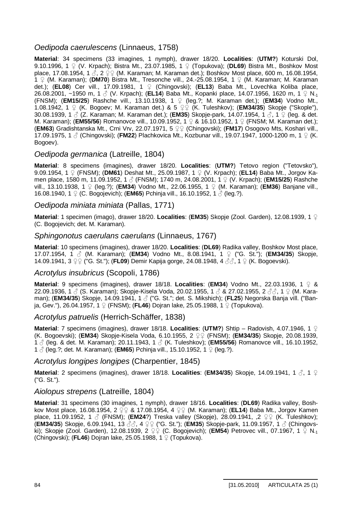### *Oedipoda caerulescens* (Linnaeus, 1758)

**Material**: 34 specimens (33 imagines, 1 nymph), drawer 18/20. **Localities**: (**UTM?**) Koturski Dol, 9.10.1996, 1 ♀ (V. Krpach); Bistra Mt., 23.07.1985, 1 ♀ (Topukova); (**DL69**) Bistra Mt., Boshkov Most place, 17.08.1954, 1  $\delta$ , 2  $\textcircled{2} \in (M.$  Karaman; M. Karaman det.); Boshkov Most place, 600 m, 16.08.1954, 1  $\Omega$  (M. Karaman); (DM70) Bistra Mt., Tresonche vill., 24.-25.08.1954, 1  $\Omega$  (M. Karaman; M. Karaman det.); (**EL08**) Cer vill., 17.09.1981, 1 Ƃ (Chingovski); (**EL13**) Baba Mt., Lovechka Koliba place, 26.08.2001, ~1950 m, 1  $\circ$  (V. Krpach); (**EL14**) Baba Mt., Kopanki place, 14.07.1956, 1620 m, 1  $\circ$  N<sub>-1</sub> (FNSM); (**EM15/25**) Rashche vill., 13.10.1938, 1 Ƃ (leg.?; M. Karaman det.); (**EM34**) Vodno Mt., 1.08.1942, 1  $\circ$  (K. Bogoev; M. Karaman det.) & 5  $\circ$  (K. Tuleshkov); (**EM34/35**) Skopje ("Skople"), 30.08.1939, 1 ♂ (Z. Karaman; M. Karaman det.); (**EM35**) Skopje-park, 14.07.1954, 1 ♂, 1 ♀ (leg. & det. M. Karaman); (**EM55/56**) Romanovce vill., 10.09.1952, 1 ♀ & 16.10.1952, 1 ♀ (FNSM; M. Karaman det.); (EM63) Gradishtanska Mt., Crni Vrv, 22.07.1971, 5  $\textcircled{2}$  (Chingovski); (FM17) Osogovo Mts, Koshari vill., 17.09.1975, 1  $\beta$  (Chingovski); (FM22) Plachkovica Mt., Kozbunar vill., 19.07.1947, 1000-1200 m, 1  $\Omega$  (K. Bogoev).

### *Oedipoda germanica* (Latreille, 1804)

**Material**: 8 specimens (imagines), drawer 18/20. **Localities**: (**UTM?**) Tetovo region ("Tetovsko"), 9.09.1954, 1 Ƃ (FNSM); (**DM61**) Deshat Mt., 25.09.1987, 1 Ƃ (V. Krpach); (**EL14**) Baba Mt., Jorgov Kamen place, 1580 m, 11.09.1952, 1 ♂ (FNSM); 1740 m, 24.08.2001, 1 ♀ (V. Krpach); (**EM15/25**) Rashche vill., 13.10.1938, 1  $\circ$  (leg.?); (**EM34**) Vodno Mt., 22.06.1955, 1  $\circ$  (M. Karaman); (**EM36**) Banjane vill., 16.08.1940, 1  $\Omega$  (C. Bogojevich); (**EM65**) Pchinja vill., 16.10.1952, 1  $\Lambda$  (leg.?).

*Oedipoda miniata miniata* (Pallas, 1771)

**Material**: 1 specimen (imago), drawer 18/20. **Localities**: (**EM35**) Skopje (Zool. Garden), 12.08.1939, 1 Ƃ (C. Bogojevich; det. M. Karaman).

### *Sphingonotus caerulans caerulans* (Linnaeus, 1767)

**Material**: 10 specimens (imagines), drawer 18/20. **Localities**: (**DL69**) Radika valley, Boshkov Most place, 17.07.1954, 1 ƃ (M. Karaman); (**EM34**) Vodno Mt., 8.08.1941, 1 Ƃ ("G. St."); (**EM34/35**) Skopje, 14.09.1941, 3  $\varphi$  ("G. St."); (FL09) Demir Kapija gorge, 24.08.1948, 4 3 3, 1  $\varphi$  (K. Bogoevski).

#### *Acrotylus insubricus* (Scopoli, 1786)

**Material**: 9 specimens (imagines), drawer 18/18. **Localities**: (**EM34**) Vodno Mt., 22.03.1936, 1  $\circ$  & 22.09.1936, 1  $\beta$  (S. Karaman); Skopje-Kisela Voda, 20.02.1955, 1  $\beta$  & 27.02.1955, 2  $\beta\beta$ , 1  $\Omega$  (M. Karaman); (**EM34/35**) Skopje, 14.09.1941, 1 ƃ ("G. St."; det. S. Mikshich); (**FL25**) Negorska Banja vill. ("Banja, Gev."), 26.04.1957, 1 ♀ (FNSM); (**FL46**) Dojran lake, 25.05.1988, 1 ♀ (Topukova).

#### *Acrotylus patruelis* (Herrich-Schäffer, 1838)

**Material:** 7 specimens (imagines), drawer 18/18. **Localities: (UTM?)** Shtip – Radovish, 4.07.1946, 1  $\Omega$ (K. Bogoevski); (**EM34**) Skopje-Kisela Voda, 6.10.1955, 2 ƂƂ (FNSM); (**EM34/35**) Skopje, 20.08.1939, 1  $\beta$  (leg. & det. M. Karaman); 20.11.1943, 1  $\beta$  (K. Tuleshkov); (**EM55/56**) Romanovce vill., 16.10.1952, 1  $\stackrel{?}{\circ}$  (leg.?; det. M. Karaman); (**EM65**) Pchinia vill., 15.10.1952, 1  $\stackrel{?}{\circ}$  (leg.?).

#### *Acrotylus longipes longipes* (Charpentier, 1845)

**Material**: 2 specimens (imagines), drawer 18/18. **Localities: (EM34/35)** Skopje, 14.09.1941, 1 ♂, 1 ♀ ("G. St.").

### *Aiolopus strepens* (Latreille, 1804)

**Material**: 31 specimens (30 imagines, 1 nymph), drawer 18/16. **Localities**: (**DL69**) Radika valley, Boshkov Most place, 16.08.1954, 2  $\overline{Q}$  & 17.08.1954, 4  $\overline{Q}$  (M. Karaman); (**EL14**) Baba Mt., Jorgov Kamen place, 11.09.1952, 1  $\circ$  (FNSM); (**EM24**?) Treska valley (Skopje), 28.09.1941, ,2  $\circ$  (K. Tuleshkov); (**EM34/35**) Skopje, 6.09.1941, 13 ƃƃ, 4 ƂƂ ("G. St."); (**EM35**) Skopje-park, 11.09.1957, 1 ƃ (Chingovski); Skopje (Zool. Garden), 12.08.1939, 2  $\textcircled{2} \varphi$  (C. Bogojevich); (EM54) Petrovec vill., 07.1967, 1  $\textcircled{2}$  N<sub>-1</sub> (Chingovski); (**FL46**) Dojran lake, 25.05.1988, 1 Ƃ (Topukova).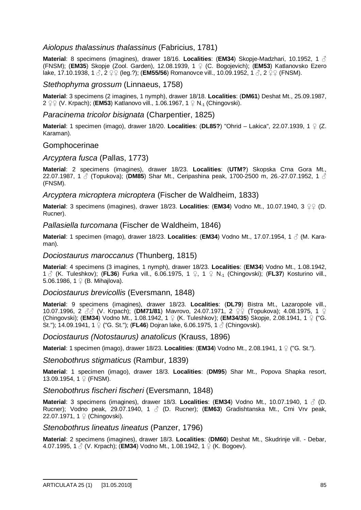### *Aiolopus thalassinus thalassinus* (Fabricius, 1781)

**Material**: 8 specimens (imagines), drawer 18/16. **Localities**: (**EM34**) Skopje-Madzhari, 10.1952, 1 ƃ (FNSM); (**EM35**) Skopje (Zool. Garden), 12.08.1939, 1 Ƃ (C. Bogojevich); (**EM53**) Katlanovsko Ezero lake, 17.10.1938, 1 ♂, 2 ♀♀ (leg.?); (**EM55/56**) Romanovce vill., 10.09.1952, 1 ♂, 2 ♀♀ (FNSM).

*Stethophyma grossum* (Linnaeus, 1758)

**Material**: 3 specimens (2 imagines, 1 nymph), drawer 18/18. **Localities**: (**DM61**) Deshat Mt., 25.09.1987, 2  $\textcircled{2}$  (V. Krpach); (**EM53**) Katlanovo vill., 1.06.1967, 1  $\textcircled{2}$  N<sub>-1</sub> (Chingovski).

*Paracinema tricolor bisignata* (Charpentier, 1825)

**Material**: 1 specimen (imago), drawer 18/20. **Localities**: (**DL85?**) "Ohrid – Lakica", 22.07.1939, 1 Ƃ (Z. Karaman).

#### Gomphocerinae

*Arcyptera fusca* (Pallas, 1773)

**Material**: 2 specimens (imagines), drawer 18/23. **Localities**: (**UTM?**) Skopska Crna Gora Mt., 22.07.1987, 1  $\beta$  (Topukova); (DM85) Shar Mt., Ceripashina peak, 1700-2500 m, 26.-27.07.1952, 1  $\beta$ (FNSM).

*Arcyptera microptera microptera* (Fischer de Waldheim, 1833)

**Material**: 3 specimens (imagines), drawer 18/23. **Localities**: (**EM34**) Vodno Mt., 10.07.1940, 3 ƂƂ (D. Rucner).

*Pallasiella turcomana* (Fischer de Waldheim, 1846)

**Material**: 1 specimen (imago), drawer 18/23. **Localities**: (**EM34**) Vodno Mt., 17.07.1954, 1 ƃ (M. Karaman).

*Dociostaurus maroccanus* (Thunberg, 1815)

**Material**: 4 specimens (3 imagines, 1 nymph), drawer 18/23. **Localities**: (**EM34**) Vodno Mt., 1.08.1942, 1  $\circ$  (K. Tuleshkov); (FL36) Furka vill., 6.06.1975, 1  $\circ$ , 1  $\circ$  N<sub>-1</sub> (Chingovski); (FL37) Kosturino vill., 5.06.1986, 1  $\varphi$  (B. Mihajlova).

*Dociostaurus brevicollis* (Eversmann, 1848)

**Material**: 9 specimens (imagines), drawer 18/23. **Localities**: (**DL79**) Bistra Mt., Lazaropole vill., 10.07.1996, 2 33 (V. Krpach); (DM71/81) Mavrovo, 24.07.1971, 2  $\varphi\varphi$  (Topukova); 4.08.1975, 1  $\varphi$ (Chingovski); (**EM34**) Vodno Mt., 1.08.1942, 1 Ƃ (K. Tuleshkov); (**EM34/35**) Skopje, 2.08.1941, 1 Ƃ ("G. St."); 14.09.1941, 1 ♀ ("G. St."); (**FL46**) Dojran lake, 6.06.1975, 1 ♂ (Chingovski).

*Dociostaurus (Notostaurus) anatolicus* (Krauss, 1896)

**Material**: 1 specimen (imago), drawer 18/23. **Localities**: (**EM34**) Vodno Mt., 2.08.1941, 1 Ƃ ("G. St.").

*Stenobothrus stigmaticus* (Rambur, 1839)

**Material**: 1 specimen (imago), drawer 18/3. **Localities**: (**DM95**) Shar Mt., Popova Shapka resort, 13.09.1954, 1  $\mathcal{Q}$  (FNSM).

*Stenobothrus fischeri fischeri* (Eversmann, 1848)

**Material**: 3 specimens (imagines), drawer 18/3. **Localities**: (**EM34**) Vodno Mt., 10.07.1940, 1 ƃ (D. Rucner); Vodno peak, 29.07.1940, 1 3 (D. Rucner); (**EM63**) Gradishtanska Mt., Crni Vrv peak, 22.07.1971, 1  $\mathcal{Q}$  (Chingovski).

*Stenobothrus lineatus lineatus* (Panzer, 1796)

**Material**: 2 specimens (imagines), drawer 18/3. **Localities**: (**DM60**) Deshat Mt., Skudrinje vill. - Debar, 4.07.1995, 1  $\&$  (V. Krpach); (**EM34**) Vodno Mt., 1.08.1942, 1  $\&$  (K. Bogoev).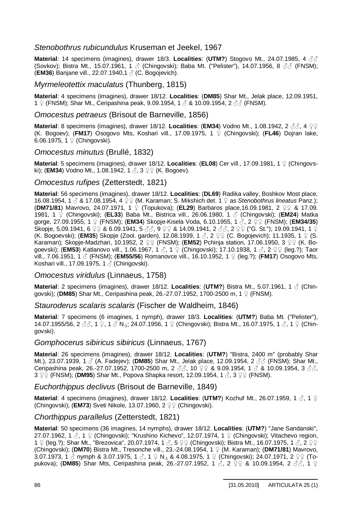### *Stenobothrus rubicundulus* Kruseman et Jeekel, 1967

**Material: 14 specimens (imagines), drawer 18/3. Localities: (UTM?) Stogovo Mt., 24.07.1985, 4 33** (Sovkov); Bistra Mt., 15.07.1961, 1  $\beta$  (Chingovski); Baba Mt. ("Pelister"), 14.07.1956, 8  $\beta\beta$  (FNSM); (**EM36**) Banjane vill., 22.07.1940,1 ƃ (C. Bogojevich).

#### *Myrmeleotettix maculatus* (Thunberg, 1815)

**Material**: 4 specimens (imagines), drawer 18/12. **Localities**: (**DM85**) Shar Mt., Jelak place, 12.09.1951, 1  $\Omega$  (FNSM); Shar Mt., Ceripashina peak, 9.09.1954, 1  $\beta$  & 10.09.1954, 2  $\beta\beta$  (FNSM).

#### *Omocestus petraeus* (Brisout de Barneville, 1856)

**Material**: 8 specimens (imagines), drawer 18/12. Localities: (EM34) Vodno Mt., 1.08.1942, 2 33, 4  $99$ (K. Bogoev); (**FM17**) Osogovo Mts, Koshari vill., 17.09.1975, 1 Ƃ (Chingovski); (**FL46**) Dojran lake, 6.06.1975, 1  $\mathcal{Q}$  (Chingovski).

#### *Omocestus minutus* (Brullé, 1832)

**Material:** 5 specimens (imagines), drawer 18/12. Localities: (EL08) Cer vill., 17.09.1981, 1  $\Omega$  (Chingovski); (**EM34**) Vodno Mt., 1.08.1942, 1  $\delta$ , 3  $\Omega$  (K. Bogoev).

### *Omocestus rufipes* (Zetterstedt, 1821)

**Material**: 56 specimens (imagines), drawer 18/12. **Localities**: (**DL69**) Radika valley, Boshkov Most place, 16.08.1954, 1 ♂ & 17.08.1954, 4 ♀♀ (M. Karaman; S. Mikshich det. 1 ♀ as *Stenobothrus lineatus* Panz.); **(DM71/81)** Mavrovo, 24.07.1971, 1 ♀ (Topukova); (**EL29**) Barbaros place,16.09.1981, 2 ♀♀ & 17.09. 1981, 1 Ƃ (Chingovski); (**EL33**) Baba Mt., Bistrica vill., 26.06.1980, 1 ƃ (Chingovski); (**EM24**) Matka gorge, 27.09.1955, 1 ♀ (FNSM); (**EM34**) Skopje-Kisela Voda, 6.10.1955, 1 3, 2 ♀ (FNSM); (**EM34/35**) Skopje, 5.09.1941, 6  $\circ$  & 6.09.1941, 5  $\circ$   $\circ$  , 9  $\circ$  & 14.09.1941, 2  $\circ$   $\circ$ , 2  $\circ$  ("G. St."); 19.09.1941, 1  $\circ$ (K. Bogoevski); (**EM35**) Skopje (Zool. garden), 12.08.1939, 1 3, 2  $\circ$  (C. Bogojevich); 11.1935, 1  $\circ$  (S. Karaman); Skopje-Madzhari, 10.1952, 2 QQ (FNSM); (**EM52**) Pchinja station, 17.06.1950, 3 QQ (K. Bogoevski); (**EM53**) Katlanovo vill., 1.06.1967, 1  $\beta$ , 1  $\frac{\gamma}{2}$  (Chingovski); 17.10.1938, 1  $\beta$ , 2  $\frac{\gamma}{2}$  (leg.?); Taor vill., 7.06.1951, 1  $\beta$  (FNSM); (**EM55/56**) Romanovce vill., 16.10.1952, 1  $\Omega$  (leg.?); (**FM17**) Osogovo Mts, Koshari vill., 17.09.1975, 1 & (Chingovski).

#### *Omocestus viridulus* (Linnaeus, 1758)

**Material**: 2 specimens (imagines), drawer 18/12. **Localities**: (**UTM?**) Bistra Mt., 5.07.1961, 1 ƃ (Chingovski); (DM85) Shar Mt., Ceripashina peak, 26.-27.07.1952, 1700-2500 m, 1 9 (FNSM).

*Stauroderus scalaris scalaris* (Fischer de Waldheim, 1846)

**Material**: 7 specimens (6 imagines, 1 nymph), drawer 18/3. **Localities**: (**UTM?**) Baba Mt. ("Pelister"), 14.07.1955/56, 2 33, 1  $\Omega$ , 1 3 N<sub>-1</sub>; 24.07.1956, 1  $\Omega$  (Chingovski); Bistra Mt., 16.07.1975, 1 3, 1  $\Omega$  (Chingovski).

#### *Gomphocerus sibiricus sibiricus* (Linnaeus, 1767)

**Material**: 26 specimens (imagines), drawer 18/12. **Localities**: (**UTM?**) "Bistra, 2400 m" (probably Shar Mt.), 23.07.1939, 1  $\circ$  (A. Fadejev); (DM85) Shar Mt., Jelak place, 12.09.1954, 2  $\circ\circ$  (FNSM); Shar Mt., Ceripashina peak, 26.-27.07.1952, 1700-2500 m, 2  $\beta\beta$ , 10  $\Omega$  & 9.09.1954, 1  $\beta$  & 10.09.1954, 3  $\beta\beta$ ,  $3 \n\hat{;} \varphi$  (FNSM); (DM95) Shar Mt., Popova Shapka resort, 12.09.1954, 1  $\beta$ , 3  $\varphi$  (FNSM).

#### *Euchorthippus declivus* (Brisout de Barneville, 1849)

**Material**: 4 specimens (imagines), drawer 18/12. Localities: (UTM?) Kozhuf Mt., 26.07.1959, 1  $\delta$ , 1  $\Omega$ (Chingovski); (**EM73**) Sveti Nikole, 13.07.1960, 2 9 (Chingovski).

### *Chorthippus parallelus* (Zetterstedt, 1821)

**Material**: 50 specimens (36 imagines, 14 nymphs), drawer 18/12. **Localities**: (**UTM?**) "Jane Sandanski", 27.07.1962, 1  $\circ$ , 1  $\circ$  (Chingovski); "Krushino Kichevo", 12.07.1974, 1  $\circ$  (Chingovski); Vitachevo region, 1  $\varphi$  (leg.?); Shar Mt., "Brezovica", 20.07.1974, 1  $\partial$ , 5  $\varphi\varphi$  (Chingovski); Bistra Mt., 16.07.1975, 1  $\partial$ , 2  $\varphi\varphi$ (Chingovski); (**DM70**) Bistra Mt., Tresonche vill., 23.-24.08.1954, 1 Ƃ (M. Karaman); (**DM71/81**) Mavrovo, 3.07.1973, 1  $\beta$  nymph & 3.07.1975, 1  $\beta$ , 1  $\Omega$  N<sub>-1</sub> & 4.08.1975, 1  $\Omega$  (Chingovski); 24.07.1971, 2  $\Omega$  $\Omega$  (Topukova); (DM85) Shar Mts, Ceripashina peak, 26.-27.07.1952, 1  $\stackrel{\circ}{\circ}$ , 2  $\stackrel{\circ}{\circ}$  & 10.09.1954, 2  $\stackrel{\circ}{\circ}$ , 1  $\stackrel{\circ}{\circ}$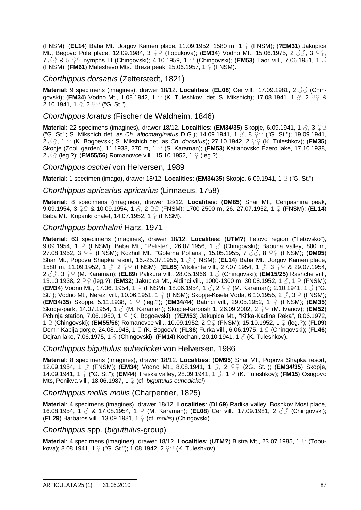(FNSM); (**EL14**) Baba Mt., Jorgov Kamen place, 11.09.1952, 1580 m, 1 Ƃ (FNSM); (**?EM31**) Jakupica Mt., Begovo Pole place, 12.09.1984, 3  $\Omega$  (Topukova); (**EM34**) Vodno Mt., 15.06.1975, 2 3 3  $\Omega$ , 3  $\Omega$ ,  $7 \text{ }\%\& 5 \text{ }\text{ }Q\text{ }\Omega$  nymphs LI (Chingovski); 4.10.1959, 1  $\Omega$  (Chingovski); (**EM53**) Taor vill., 7.06.1951, 1  $\text{ }\partial$ (FNSM); (**FM61**) Maleshevo Mts., Breza peak, 25.06.1957, 1 Ƃ (FNSM).

### *Chorthippus dorsatus* (Zetterstedt, 1821)

**Material:** 9 specimens (imagines), drawer 18/12. Localities: (EL08) Cer vill., 17.09.1981, 2 33 (Chingovski); (**EM34**) Vodno Mt., 1.08.1942, 1  $\Omega$  (K. Tuleshkov; det. S. Mikshich); 17.08.1941, 1  $\beta$ , 2  $\Omega$  &  $2.10.1941, 1 \, \odot$ ,  $2 \, \circledcirc \, \circ$  ("G. St.").

#### *Chorthippus loratus* (Fischer de Waldheim, 1846)

**Material**: 22 specimens (imagines), drawer 18/12. **Localities: (EM34/35)** Skopje, 6.09.1941, 1  $\beta$ , 3  $\varphi\varphi$ ("G. St."; S. Mikshich det. as *Ch. albomarginatus* D.G.); 14.09.1941, 1 3, 8 ♀♀ ("G. St."); 19.09.1941, 2 3 3, 1 ♀ (K. Bogoevski; S. Mikshich det. as *Ch. dorsatus*); 27.10.1942, 2 ♀♀ (K. Tuleshkov); (**EM35**) Skopje (Zool. garden), 11.1938, 270 m, 1  $\circ$  (S. Karaman); (**EM53**) Katlanovsko Ezero lake, 17.10.1938, 2 ♂ (leg.?); (**EM55/56**) Romanovce vill., 15.10.1952, 1 ♀ (leg.?).

### *Chorthippus oschei* von Helversen, 1989

**Material**: 1 specimen (imago), drawer 18/12. **Localities**: (**EM34/35**) Skopje, 6.09.1941, 1 Ƃ ("G. St.").

#### *Chorthippus apricarius apricarius* (Linnaeus, 1758)

**Material**: 8 specimens (imagines), drawer 18/12. **Localities**: (**DM85**) Shar Mt., Ceripashina peak, 9.09.1954, 3  $\circ$  & 10.09.1954, 1  $\circ$ , 2  $\circ$  (FNSM); 1700-2500 m, 26.-27.07.1952, 1  $\circ$  (FNSM); (**EL14**) Baba Mt., Kopanki chalet, 14.07.1952, 1  $\Omega$  (FNSM).

### *Chorthippus bornhalmi* Harz, 1971

**Material**: 63 specimens (imagines), drawer 18/12. **Localities**: (**UTM?**) Tetovo region ("Tetovsko"), 9.09.1954, 1  $\Omega$  (FNSM); Baba Mt., "Pelister", 26.07.1956, 1  $\Lambda$  (Chingovski); Babuna valley, 800 m, **27.08.1952, 3 오오 (FNSM); Kozhuf Mt., "Golema Poljana", 15.05.1955, 7 33, 8 오오 (FNSM); (DM95)** Shar Mt., Popova Shapka resort, 16.-25.07.1956, 1 ƃ (FNSM); (**EL14**) Baba Mt., Jorgov Kamen place, 1580 m, 11.09.1952, 1 3, 2 ♀♀ (FNSM); (**EL65**) Vitolishte vill., 27.07.1954, 1 3, 3 ♀♀ & 29.07.1954, 2 3 3 9 9 (M. Karaman); (**EL89**) Palikura vill., 28.05.1966, 1 3 (Chingovski); (**EM15/25**) Rashche vill., 13.10.1938, 2  $\varphi$  (leg.?); (**EM32**) Jakupica Mt., Aldinci vill., 1000-1300 m, 30.08.1952, 1  $\beta$ , 1  $\varphi$  (FNSM); (**EM34**) Vodno Mt., 17.06. 1954, 1 ♀ (FNSM); 18.06.1954, 1 ♂, 2 ♀♀ (M. Karaman); 2.10.1941, 1 ♂ ("G. St."); Vodno Mt., Nerezi vill., 10.06.1951, 1  $\circ$  (FNSM); Skopje-Kisela Voda, 6.10.1955, 2  $\circ$ , 3  $\circ$  (FNSM); (**EM34/35**) Skopje, 5.11.1938, 1 Ƃ (leg.?); (**EM34/44**) Batinci vill., 29.05.1952, 1 Ƃ (FNSM); (**EM35**) Skopje-park, 14.07.1954, 1  $\circled{}$  (M. Karaman); Skopje-Karposh 1, 26.09.2002, 2  $\circled{}$  (M. Ivanov); (**EM52**)  $\frac{1}{2}$ Pchinja station, 7.06.1950, 1  $\frac{1}{2}$  (K. Bogoevski); (**?EM53**) Jakupica Mt., "Kitka-Kadina Reka", 8.06.1972, 1 ♀ (Chingovski); (**EM55/56**) Romanovce vill., 10.09.1952, 2 ♀♀ (FNSM); 15.10.1952, 1 ♀ (leg.?); (**FL09**) Demir Kapija gorge, 24.08.1948, 1 Ƃ (K. Bogoev); (**FL36**) Furka vill., 6.06.1975, 1 Ƃ (Chingovski); (**FL46**) Dojran lake, 7.06.1975, 1 ƃ (Chingovski); (**FM14**) Kochani, 20.10.1941, 1 ƃ (K. Tuleshkov).

#### *Chorthippus biguttulus euhedickei* von Helversen, 1986

**Material**: 8 specimens (imagines), drawer 18/12. **Localities**: (**DM95**) Shar Mt., Popova Shapka resort, 12.09.1954, 1  $\textcircled{}$  (FNSM); (**EM34**) Vodno Mt., 8.08.1941, 1  $\textcircled{}$ , 2  $\textcircled{}$  (2G. St."); (**EM34/35**) Skopje, 14.09.1941, 1 ♀ ("G. St."); (**EM44**) Treska valley, 28.09.1941, 1 3, 1 ♀ (K. Tuleshkov); (FM15) Osogovo Mts, Ponikva vill., 18.06.1987, 1 <sup>o</sup> (cf. *biguttulus euhedickei*).

### *Chorthippus mollis mollis* (Charpentier, 1825)

**Material**: 4 specimens (imagines), drawer 18/12. **Localities**: (**DL69**) Radika valley, Boshkov Most place, 16.08.1954, 1 & 8. 17.08.1954, 1  $\varphi$  (M. Karaman); (**EL08**) Cer vill., 17.09.1981, 2 & (Chingovski); (**EL29**) Barbaros vill., 13.09.1981, 1 Ƃ (cf. *mollis*) (Chingovski).

### *Chorthippus* spp. (*biguttulus*-group)

**Material**: 4 specimens (imagines), drawer 18/12. **Localities**: (**UTM?**) Bistra Mt., 23.07.1985, 1 Ƃ (Topukova); 8.08.1941, 1  $\Omega$  ("G. St."); 1.08.1942, 2  $\Omega$  (K. Tuleshkov).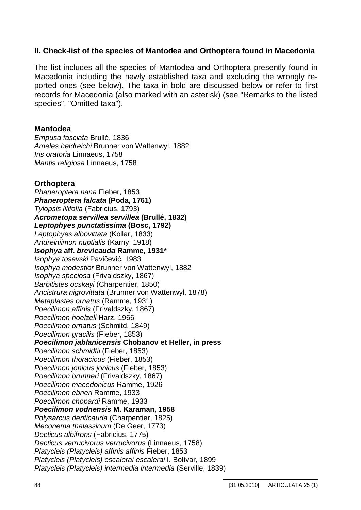## **II. Check-list of the species of Mantodea and Orthoptera found in Macedonia**

The list includes all the species of Mantodea and Orthoptera presently found in Macedonia including the newly established taxa and excluding the wrongly reported ones (see below). The taxa in bold are discussed below or refer to first records for Macedonia (also marked with an asterisk) (see "Remarks to the listed species", "Omitted taxa").

### **Mantodea**

*Empusa fasciata* Brullé, 1836 *Ameles heldreichi* Brunner von Wattenwyl, 1882 *Iris oratoria* Linnaeus, 1758 *Mantis religiosa* Linnaeus, 1758

### **Orthoptera**

*Phaneroptera nana* Fieber, 1853 *Phaneroptera falcata* **(Poda, 1761)** *Tylopsis lilifolia* (Fabricius, 1793) *Acrometopa servillea servillea* **(Brullé, 1832)** *Leptophyes punctatissima* **(Bosc, 1792)** *Leptophyes albovittata* (Kollar, 1833) *Andreiniimon nuptialis* (Karny, 1918) *Isophya* **aff.** *brevicauda* **Ramme, 1931\*** *Isophya tosevski* Pavičević, 1983 *Isophya modestior* Brunner von Wattenwyl, 1882 *Isophya speciosa* (Frivaldszky, 1867) *Barbitistes ocskayi* (Charpentier, 1850) *Ancistrura nigrovittata* (Brunner von Wattenwyl, 1878) *Metaplastes ornatus* (Ramme, 1931) *Poecilimon affinis* (Frivaldszky, 1867) *Poecilimon hoelzeli* Harz, 1966 *Poecilimon ornatus* (Schmitd, 1849) *Poecilimon gracilis* (Fieber, 1853) *Poecilimon jablanicensis* **Chobanov et Heller, in press** *Poecilimon schmidtii* (Fieber, 1853) *Poecilimon thoracicus* (Fieber, 1853) *Poecilimon jonicus jonicus* (Fieber, 1853) *Poecilimon brunneri* (Frivaldszky, 1867) *Poecilimon macedonicus* Ramme, 1926 *Poecilimon ebneri* Ramme, 1933 *Poecilimon chopardi* Ramme, 1933 *Poecilimon vodnensis* **M. Karaman, 1958** *Polysarcus denticauda* (Charpentier, 1825) *Meconema thalassinum* (De Geer, 1773) *Decticus albifrons* (Fabricius, 1775) *Decticus verrucivorus verrucivorus* (Linnaeus, 1758) *Platycleis (Platycleis) affinis affinis* Fieber, 1853 *Platycleis (Platycleis) escalerai escalerai* I. Bolívar, 1899 *Platycleis (Platycleis) intermedia intermedia* (Serville, 1839)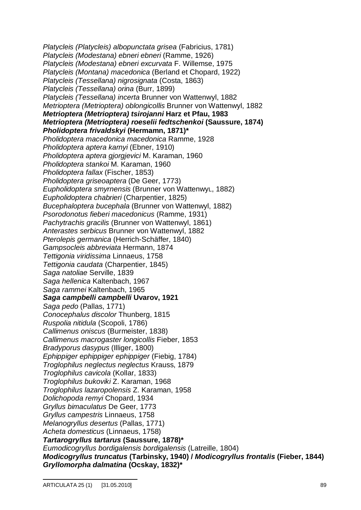*Platycleis (Platycleis) albopunctata grisea* (Fabricius, 1781) *Platycleis (Modestana) ebneri ebneri* (Ramme, 1926) *Platycleis (Modestana) ebneri excurvata* F. Willemse, 1975 *Platycleis (Montana) macedonica* (Berland et Chopard, 1922) *Platycleis (Tessellana) nigrosignata* (Costa, 1863) *Platycleis (Tessellana) orina* (Burr, 1899) *Platycleis (Tessellana) incerta* Brunner von Wattenwyl, 1882 *Metrioptera (Metrioptera) oblongicollis* Brunner von Wattenwyl, 1882 *Metrioptera (Metrioptera) tsirojanni* **Harz et Pfau, 1983** *Metrioptera (Metrioptera) roeselii fedtschenkoi* **(Saussure, 1874)** *Pholidoptera frivaldskyi* **(Hermamn, 1871)\*** *Pholidoptera macedonica macedonica* Ramme, 1928 *Pholidoptera aptera karnyi* (Ebner, 1910) *Pholidoptera aptera gjorgjevici* M. Karaman, 1960 *Pholidoptera stankoi* M. Karaman, 1960 *Pholidoptera fallax* (Fischer, 1853) *Pholidoptera griseoaptera* (De Geer, 1773) *Eupholidoptera smyrnensis* (Brunner von WattenwyL, 1882) *Eupholidoptera chabrieri* (Charpentier, 1825) *Bucephaloptera bucephala* (Brunner von Wattenwyl, 1882) *Psorodonotus fieberi macedonicus* (Ramme, 1931) *Pachytrachis gracilis* (Brunner von Wattenwyl, 1861) *Anterastes serbicus* Brunner von Wattenwyl, 1882 *Pterolepis germanica* (Herrich-Schäffer, 1840) *Gampsocleis abbreviata* Hermann, 1874 *Tettigonia viridissima* Linnaeus, 1758 *Tettigonia caudata* (Charpentier, 1845) *Saga natoliae* Serville, 1839 *Saga hellenica* Kaltenbach, 1967 *Saga rammei* Kaltenbach, 1965 *Saga campbelli campbelli* **Uvarov, 1921** *Saga pedo* (Pallas, 1771) *Conocephalus discolor* Thunberg, 1815 *Ruspolia nitidula* (Scopoli, 1786) *Callimenus oniscus* (Burmeister, 1838) *Callimenus macrogaster longicollis* Fieber, 1853 *Bradyporus dasypus* (Illiger, 1800) *Ephippiger ephippiger ephippiger* (Fiebig, 1784) *Troglophilus neglectus neglectus* Krauss, 1879 *Troglophilus cavicola* (Kollar, 1833) *Troglophilus bukoviki* Z. Karaman, 1968 *Troglophilus lazaropolensis* Z. Karaman, 1958 *Dolichopoda remyi* Chopard, 1934 *Gryllus bimaculatus* De Geer, 1773 *Gryllus campestris* Linnaeus, 1758 *Melanogryllus desertus* (Pallas, 1771) *Acheta domesticus* (Linnaeus, 1758) *Tartarogryllus tartarus* **(Saussure, 1878)\*** *Eumodicogryllus bordigalensis bordigalensis* (Latreille, 1804) *Modicogryllus truncatus* **(Tarbinsky, 1940) /** *Modicogryllus frontalis* **(Fieber, 1844)** *Gryllomorpha dalmatina* **(Ocskay, 1832)\***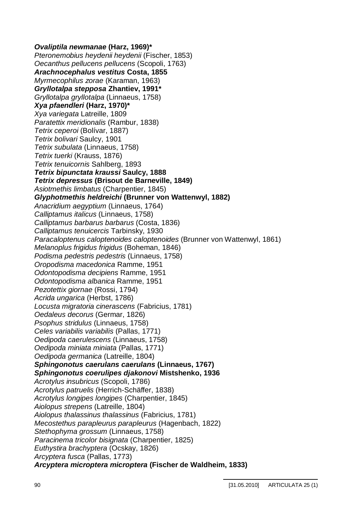*Ovaliptila newmanae* **(Harz, 1969)\*** *Pteronemobius heydenii heydenii* (Fischer, 1853) *Oecanthus pellucens pellucens* (Scopoli, 1763) *Arachnocephalus vestitus* **Costa, 1855** *Myrmecophilus zorae* (Karaman, 1963) *Gryllotalpa stepposa* **Zhantiev, 1991\*** *Gryllotalpa gryllotalpa* (Linnaeus, 1758) *Xya pfaendleri* **(Harz, 1970)\*** *Xya variegata* Latreille, 1809 *Paratettix meridionalis* (Rambur, 1838) *Tetrix ceperoi* (Bolívar, 1887) *Tetrix bolivari* Saulcy, 1901 *Tetrix subulata* (Linnaeus, 1758) *Tetrix tuerki* (Krauss, 1876) *Tetrix tenuicornis* Sahlberg, 1893 *Tetrix bipunctata kraussi* **Saulcy, 1888** *Tetrix depressus* **(Brisout de Barneville, 1849)** *Asiotmethis limbatus* (Charpentier, 1845) *Glyphotmethis heldreichi* **(Brunner von Wattenwyl, 1882)** *Anacridium aegyptium* (Linnaeus, 1764) *Calliptamus italicus* (Linnaeus, 1758) *Calliptamus barbarus barbarus* (Costa, 1836) *Calliptamus tenuicercis* Tarbinsky, 1930 *Paracaloptenus caloptenoides caloptenoides* (Brunner von Wattenwyl, 1861) *Melanoplus frigidus frigidus* (Boheman, 1846) *Podisma pedestris pedestris* (Linnaeus, 1758) *Oropodisma macedonica* Ramme, 1951 *Odontopodisma decipiens* Ramme, 1951 *Odontopodisma albanica* Ramme, 1951 *Pezotettix giornae* (Rossi, 1794) *Acrida ungarica* (Herbst, 1786) *Locusta migratoria cinerascens* (Fabricius, 1781) *Oedaleus decorus* (Germar, 1826) *Psophus stridulus* (Linnaeus, 1758) *Celes variabilis variabilis* (Pallas, 1771) *Oedipoda caerulescens* (Linnaeus, 1758) *Oedipoda miniata miniata* (Pallas, 1771) *Oedipoda germanica* (Latreille, 1804) *Sphingonotus caerulans caerulans* **(Linnaeus, 1767)** *Sphingonotus coerulipes djakonovi* **Mistshenko, 1936** *Acrotylus insubricus* (Scopoli, 1786) *Acrotylus patruelis* (Herrich-Schäffer, 1838) *Acrotylus longipes longipes* (Charpentier, 1845) *Aiolopus strepens* (Latreille, 1804) *Aiolopus thalassinus thalassinus* (Fabricius, 1781) *Mecostethus parapleurus parapleurus* (Hagenbach, 1822) *Stethophyma grossum* (Linnaeus, 1758) *Paracinema tricolor bisignata* (Charpentier, 1825) *Euthystira brachyptera* (Ocskay, 1826) *Arcyptera fusca* (Pallas, 1773) *Arcyptera microptera microptera* **(Fischer de Waldheim, 1833)**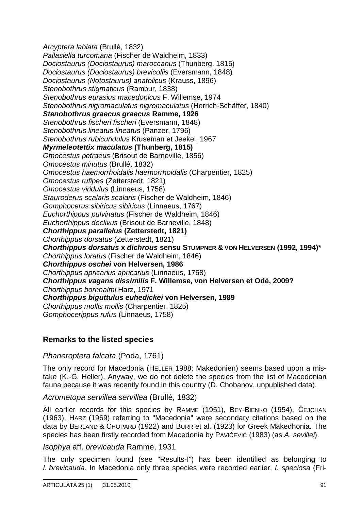*Arcyptera labiata* (Brullé, 1832) *Pallasiella turcomana* (Fischer de Waldheim, 1833) *Dociostaurus (Dociostaurus) maroccanus* (Thunberg, 1815) *Dociostaurus (Dociostaurus) brevicollis* (Eversmann, 1848) *Dociostaurus (Notostaurus) anatolicus* (Krauss, 1896) *Stenobothrus stigmaticus* (Rambur, 1838) *Stenobothrus eurasius macedonicus* F. Willemse, 1974 *Stenobothrus nigromaculatus nigromaculatus* (Herrich-Schäffer, 1840) *Stenobothrus graecus graecus* **Ramme, 1926** *Stenobothrus fischeri fischeri* (Eversmann, 1848) *Stenobothrus lineatus lineatus* (Panzer, 1796) *Stenobothrus rubicundulus* Kruseman et Jeekel, 1967 *Myrmeleotettix maculatus* **(Thunberg, 1815)** *Omocestus petraeus* (Brisout de Barneville, 1856) *Omocestus minutus* (Brullé, 1832) *Omocestus haemorrhoidalis haemorrhoidalis* (Charpentier, 1825) *Omocestus rufipes* (Zetterstedt, 1821) *Omocestus viridulus* (Linnaeus, 1758) *Stauroderus scalaris scalaris* (Fischer de Waldheim, 1846) *Gomphocerus sibiricus sibiricus* (Linnaeus, 1767) *Euchorthippus pulvinatus* (Fischer de Waldheim, 1846) *Euchorthippus declivus* (Brisout de Barneville, 1848) *Chorthippus parallelus* **(Zetterstedt, 1821)** *Chorthippus dorsatus* (Zetterstedt, 1821) *Chorthippus dorsatus* **x** *dichrous* **sensu STUMPNER & VON HELVERSEN (1992, 1994)\*** *Chorthippus loratus* (Fischer de Waldheim, 1846) *Chorthippus oschei* **von Helversen, 1986** *Chorthippus apricarius apricarius* (Linnaeus, 1758) *Chorthippus vagans dissimilis* **F. Willemse, von Helversen et Odé, 2009?** *Chorthippus bornhalmi* Harz, 1971 *Chorthippus biguttulus euhedickei* **von Helversen, 1989** *Chorthippus mollis mollis* (Charpentier, 1825) *Gomphocerippus rufus* (Linnaeus, 1758)

## **Remarks to the listed species**

*Phaneroptera falcata* (Poda, 1761)

The only record for Macedonia (HELLER 1988: Makedonien) seems based upon a mistake (K.-G. Heller). Anyway, we do not delete the species from the list of Macedonian fauna because it was recently found in this country (D. Chobanov, unpublished data).

*Acrometopa servillea servillea* (Brullé, 1832)

All earlier records for this species by RAMME (1951), BEY-BIENKO (1954), ČEJCHAN (1963), HARZ (1969) referring to "Macedonia" were secondary citations based on the data by BERLAND & CHOPARD (1922) and BURR et al. (1923) for Greek Makedhonia. The species has been firstly recorded from Macedonia by PAVIĆEVIĆ (1983) (as *A. sevillei*).

*Isophya* aff. *brevicauda* Ramme, 1931

The only specimen found (see "Results-I") has been identified as belonging to *I. brevicauda*. In Macedonia only three species were recorded earlier, *I. speciosa* (Fri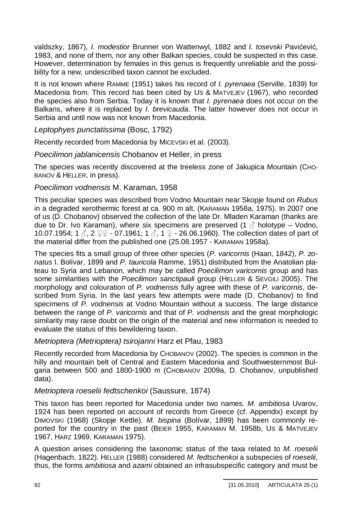valdszky, 1867), *I. modestior* Brunner von Wattenwyl, 1882 and *I. tosevski* Pavićević, 1983, and none of them, nor any other Balkan species, could be suspected in this case. However, determination by females in this genus is frequently unreliable and the possibility for a new, undescribed taxon cannot be excluded.

It is not known where RAMME (1951) takes his record of *I. pyrenaea* (Serville, 1839) for Macedonia from. This record has been cited by US & MATVEJEV (1967), who recorded the species also from Serbia. Today it is known that *I. pyrenaea* does not occur on the Balkans, where it is replaced by *I. brevicauda*. The latter however does not occur in Serbia and until now was not known from Macedonia.

*Leptophyes punctatissima* (Bosc, 1792)

Recently recorded from Macedonia by MICEVSKI et al. (2003).

*Poecilimon jablanicensis* Chobanov et Heller, in press

The species was recently discovered at the treeless zone of Jakupica Mountain (CHO-BANOV & HELLER, in press).

*Poecilimon vodnensis* M. Karaman, 1958

This peculiar species was described from Vodno Mountain near Skopje found on *Rubus* in a degraded xerothermic forest at ca. 900 m alt. (KARAMAN 1958a, 1975). In 2007 one of us (D. Chobanov) observed the collection of the late Dr. Mladen Karaman (thanks are due to Dr. Ivo Karaman), where six specimens are preserved (1  $\beta$  holotype – Vodno, 10.07.1954; 1  $\Im$ , 2  $\Im$  - 07.1961; 1  $\Im$ , 1  $\Im$  - 26.06.1960). The collection dates of part of the material differ from the published one (25.08.1957 - KARAMAN 1958a).

The species fits a small group of three other species (*P. varicornis* (Haan, 1842), *P. zonatus* I. Bolívar, 1899 and *P. tauricola* Ramme, 1951) distributed from the Anatolian plateau to Syria and Lebanon, which may be called *Poecilimon varicornis* group and has some similarities with the *Poecilimon sanctipauli* group (HELLER & SEVGILI 2005). The morphology and colouration of *P. vodnensis* fully agree with these of *P. varicornis*, described from Syria. In the last years few attempts were made (D. Chobanov) to find specimens of *P. vodnensis* at Vodno Mountain without a success. The large distance between the range of *P. varicornis* and that of *P. vodnensis* and the great morphologic similarity may raise doubt on the origin of the material and new information is needed to evaluate the status of this bewildering taxon.

*Metrioptera (Metrioptera) tsirojanni* Harz et Pfau, 1983

Recently recorded from Macedonia by CHOBANOV (2002). The species is common in the hilly and mountain belt of Central and Eastern Macedonia and Southwesternmost Bulgaria between 500 and 1800-1900 m (CHOBANOV 2009a, D. Chobanov, unpublished data).

## *Metrioptera roeselii fedtschenkoi* (Saussure, 1874)

This taxon has been reported for Macedonia under two names. *M. ambitiosa* Uvarov, 1924 has been reported on account of records from Greece (cf. Appendix) except by DIMOVSKI (1968) (Skopje Kettle). *M. bispina* (Bolívar, 1899) has been commonly reported for the country in the past (BEIER 1955, KARAMAN M. 1958b, US & MATVEJEV 1967, HARZ 1969, KARAMAN 1975).

A question arises considering the taxonomic status of the taxa related to *M. roeselii* (Hagenbach, 1822). HELLER (1988) considered *M. fedtschenkoi* a subspecies of *roeselii*, thus, the forms *ambitiosa* and *azami* obtained an infrasubspecific category and must be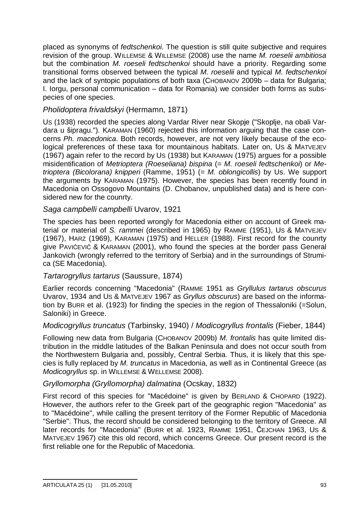placed as synonyms of *fedtschenkoi*. The question is still quite subjective and requires revision of the group. WILLEMSE & WILLEMSE (2008) use the name *M. roeselii ambitiosa* but the combination *M. roeseli fedtschenkoi* should have a priority. Regarding some transitional forms observed between the typical *M. roeselii* and typical *M. fedtschenkoi* and the lack of syntopic populations of both taxa (CHOBANOV 2009b – data for Bulgaria; I. Iorgu, personal communication – data for Romania) we consider both forms as subspecies of one species.

## *Pholidoptera frivaldskyi* (Hermamn, 1871)

US (1938) recorded the species along Vardar River near Skopje ("Skoplje, na obali Vardara u ãipragu."). KARAMAN (1960) rejected this information arguing that the case concerns *Ph. macedonica*. Both records, however, are not very likely because of the ecological preferences of these taxa for mountainous habitats. Later on, US & MATVEJEV (1967) again refer to the record by US (1938) but KARAMAN (1975) argues for a possible misidentification of *Metrioptera (Roeseliana) bispina* (= *M. roeseli fedtschenkoi*) or *Metrioptera (Bicolorana) knipperi* (Ramme, 1951) (= *M. oblongicollis*) by Us. We support the arguments by KARAMAN (1975). However, the species has been recently found in Macedonia on Ossogovo Mountains (D. Chobanov, unpublished data) and is here considered new for the counrty.

## *Saga campbelli campbelli* Uvarov, 1921

The species has been reported wrongly for Macedonia either on account of Greek material or material of *S. rammei* (described in 1965) by RAMME (1951), US & MATVEJEV (1967), HARZ (1969), KARAMAN (1975) and HELLER (1988). First record for the counrty give PAVIĆEVIĆ & KARAMAN (2001), who found the species at the border pass General Jankovich (wrongly referred to the territory of Serbia) and in the surroundings of Strumica (SE Macedonia).

## *Tartarogryllus tartarus* (Saussure, 1874)

Earlier records concerning "Macedonia" (RAMME 1951 as *Gryllulus tartarus obscurus* Uvarov, 1934 and US & MATVEJEV 1967 as *Gryllus obscurus*) are based on the information by BURR et al. (1923) for finding the species in the region of Thessaloniki (=Solun, Saloniki) in Greece.

## *Modicogryllus truncatus* (Tarbinsky, 1940) / *Modicogryllus frontalis* (Fieber, 1844)

Following new data from Bulgaria (CHOBANOV 2009b) *M. frontalis* has quite limited distribution in the middle latitudes of the Balkan Peninsula and does not occur south from the Northwestern Bulgaria and, possibly, Central Serbia. Thus, it is likely that this species is fully replaced by *M. truncatus* in Macedonia, as well as in Continental Greece (as *Modicogryllus* sp. in WILLEMSE & WELLEMSE 2008).

## *Gryllomorpha (Gryllomorpha) dalmatina* (Ocskay, 1832)

First record of this species for "Macédoine" is given by BERLAND & CHOPARD (1922). However, the authors refer to the Greek part of the geographic region "Macedonia" as to "Macédoine", while calling the present territory of the Former Republic of Macedonia "Serbie". Thus, the record should be considered belonging to the territory of Greece. All later records for "Macedonia" (BURR et al. 1923, RAMME 1951, ČEJCHAN 1963, US & MATVEJEV 1967) cite this old record, which concerns Greece. Our present record is the first reliable one for the Republic of Macedonia.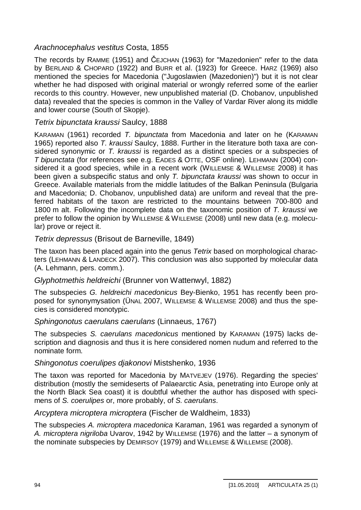## *Arachnocephalus vestitus* Costa, 1855

The records by RAMME (1951) and ČEJCHAN (1963) for "Mazedonien" refer to the data by BERLAND & CHOPARD (1922) and BURR et al. (1923) for Greece. HARZ (1969) also mentioned the species for Macedonia ("Jugoslawien (Mazedonien)") but it is not clear whether he had disposed with original material or wrongly referred some of the earlier records to this country. However, new unpublished material (D. Chobanov, unpublished data) revealed that the species is common in the Valley of Vardar River along its middle and lower course (South of Skopje).

## *Tetrix bipunctata kraussi* Saulcy, 1888

KARAMAN (1961) recorded *T. bipunctata* from Macedonia and later on he (KARAMAN 1965) reported also *T. kraussi* Saulcy, 1888. Further in the literature both taxa are considered synonymic or *T. kraussi* is regarded as a distinct species or a subspecies of *T bipunctata* (for references see e.g. EADES & OTTE, OSF online). LEHMANN (2004) considered it a good species, while in a recent work (WILLEMSE & WILLEMSE 2008) it has been given a subspecific status and only *T. bipunctata kraussi* was shown to occur in Greece. Available materials from the middle latitudes of the Balkan Peninsula (Bulgaria and Macedonia; D. Chobanov, unpublished data) are uniform and reveal that the preferred habitats of the taxon are restricted to the mountains between 700-800 and 1800 m alt. Following the incomplete data on the taxonomic position of *T. kraussi* we prefer to follow the opinion by WILLEMSE & WILLEMSE (2008) until new data (e.g. molecular) prove or reject it.

## *Tetrix depressus* (Brisout de Barneville, 1849)

The taxon has been placed again into the genus *Tetrix* based on morphological characters (LEHMANN & LANDECK 2007). This conclusion was also supported by molecular data (A. Lehmann, pers. comm.).

## *Glyphotmethis heldreichi* (Brunner von Wattenwyl, 1882)

The subspecies *G. heldreichi macedonicus* Bey-Bienko, 1951 has recently been proposed for synonymysation (ÜNAL 2007, WILLEMSE & WILLEMSE 2008) and thus the species is considered monotypic.

## *Sphingonotus caerulans caerulans* (Linnaeus, 1767)

The subspecies *S. caerulans macedonicus* mentioned by KARAMAN (1975) lacks description and diagnosis and thus it is here considered nomen nudum and referred to the nominate form.

## *Shingonotus coerulipes djakonovi* Mistshenko, 1936

The taxon was reported for Macedonia by MATVEJEV (1976). Regarding the species' distribution (mostly the semideserts of Palaearctic Asia, penetrating into Europe only at the North Black Sea coast) it is doubtful whether the author has disposed with specimens of *S. coerulipes* or, more probably, of *S. caerulans*.

## *Arcyptera microptera microptera* (Fischer de Waldheim, 1833)

The subspecies *A. microptera macedonica* Karaman, 1961 was regarded a synonym of *A. microptera nigriloba* Uvarov, 1942 by WILLEMSE (1976) and the latter – a synonym of the nominate subspecies by DEMIRSOY (1979) and WILLEMSE & WILLEMSE (2008).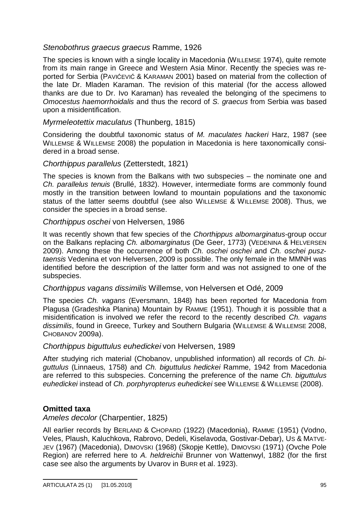## *Stenobothrus graecus graecus* Ramme, 1926

The species is known with a single locality in Macedonia (WILLEMSE 1974), quite remote from its main range in Greece and Western Asia Minor. Recently the species was reported for Serbia (PAVIĆEVIĆ & KARAMAN 2001) based on material from the collection of the late Dr. Mladen Karaman. The revision of this material (for the access allowed thanks are due to Dr. Ivo Karaman) has revealed the belonging of the specimens to *Omocestus haemorrhoidalis* and thus the record of *S. graecus* from Serbia was based upon a misidentification.

## *Myrmeleotettix maculatus* (Thunberg, 1815)

Considering the doubtful taxonomic status of *M. maculates hackeri* Harz, 1987 (see WILLEMSE & WILLEMSE 2008) the population in Macedonia is here taxonomically considered in a broad sense.

### *Chorthippus parallelus* (Zetterstedt, 1821)

The species is known from the Balkans with two subspecies – the nominate one and *Ch. parallelus tenuis* (Brullé, 1832). However, intermediate forms are commonly found mostly in the transition between lowland to mountain populations and the taxonomic status of the latter seems doubtful (see also WILLEMSE & WILLEMSE 2008). Thus, we consider the species in a broad sense.

### *Chorthippus oschei* von Helversen, 1986

It was recently shown that few species of the *Chorthippus albomarginatus*-group occur on the Balkans replacing *Ch. albomarginatus* (De Geer, 1773) (VEDENINA & HELVERSEN 2009). Among these the occurrence of both *Ch. oschei oschei* and *Ch. oschei pusztaensis* Vedenina et von Helversen, 2009 is possible. The only female in the MMNH was identified before the description of the latter form and was not assigned to one of the subspecies.

### *Chorthippus vagans dissimilis* Willemse, von Helversen et Odé, 2009

The species *Ch. vagans* (Eversmann, 1848) has been reported for Macedonia from Plagusa (Gradeshka Planina) Mountain by RAMME (1951). Though it is possible that a misidentification is involved we refer the record to the recently described *Ch. vagans dissimilis*, found in Greece, Turkey and Southern Bulgaria (WILLEMSE & WILLEMSE 2008, CHOBANOV 2009a).

### *Chorthippus biguttulus euhedickei* von Helversen, 1989

After studying rich material (Chobanov, unpublished information) all records of *Ch. biguttulus* (Linnaeus, 1758) and *Ch. biguttulus hedickei* Ramme, 1942 from Macedonia are referred to this subspecies. Concerning the preference of the name *Ch. biguttulus euhedickei* instead of *Ch. porphyropterus euhedickei* see WILLEMSE & WILLEMSE (2008).

## **Omitted taxa**

*Ameles decolor* (Charpentier, 1825)

All earlier records by BERLAND & CHOPARD (1922) (Macedonia), RAMME (1951) (Vodno, Veles, Plaush, Kaluchkova, Rabrovo, Dedeli, Kiselavoda, Gostivar-Debar), US & MATVE-JEV (1967) (Macedonia), DIMOVSKI (1968) (Skopje Kettle), DIMOVSKI (1971) (Ovche Pole Region) are referred here to *A. heldreichii* Brunner von Wattenwyl, 1882 (for the first case see also the arguments by Uvarov in BURR et al. 1923).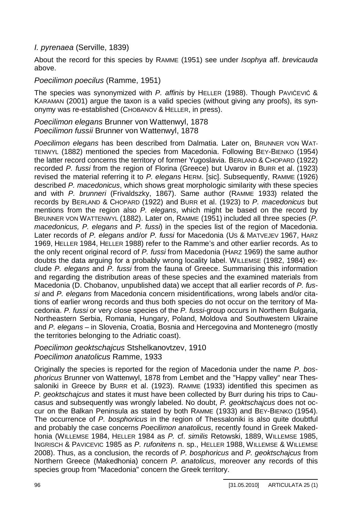## *I. pyrenaea* (Serville, 1839)

About the record for this species by RAMME (1951) see under *Isophya* aff. *brevicauda* above.

## *Poecilimon poecilus* (Ramme, 1951)

The species was synonymized with *P. affinis* by HELLER (1988). Though PAVICEVIC & KARAMAN (2001) argue the taxon is a valid species (without giving any proofs), its synonymy was re-established (CHOBANOV & HELLER, in press).

*Poecilimon elegans* Brunner von Wattenwyl, 1878 *Poecilimon fussii* Brunner von Wattenwyl, 1878

*Poecilimon elegans* has been described from Dalmatia. Later on, BRUNNER VON WAT-TENWYL (1882) mentioned the species from Macedonia. Following BEY-BIENKO (1954) the latter record concerns the territory of former Yugoslavia. BERLAND & CHOPARD (1922) recorded *P. fussi* from the region of Florina (Greece) but Uvarov in BURR et al. (1923) revised the material referring it to *P. elegans* HERM. [sic]. Subsequently, RAMME (1926) described *P. macedonicus*, which shows great morphologic similarity with these species and with *P. brunneri* (Frivaldszky, 1867). Same author (RAMME 1933) related the records by BERLAND & CHOPARD (1922) and BURR et al. (1923) to *P. macedonicus* but mentions from the region also *P. elegans*, which might be based on the record by BRUNNER VON WATTENWYL (1882). Later on, RAMME (1951) included all three species (*P. macedonicus, P. elegans* and *P. fussi*) in the species list of the region of Macedonia. Later records of *P. elegans* and/or *P. fussi* for Macedonia (US & MATVEJEV 1967, HARZ 1969, HELLER 1984, HELLER 1988) refer to the Ramme's and other earlier records. As to the only recent original record of *P. fussi* from Macedonia (HARZ 1969) the same author doubts the data arguing for a probably wrong locality label. WILLEMSE (1982, 1984) exclude *P. elegans* and *P. fussi* from the fauna of Greece. Summarising this information and regarding the distribution areas of these species and the examined materials from Macedonia (D. Chobanov, unpublished data) we accept that all earlier records of *P. fussi* and *P. elegans* from Macedonia concern misidentifications, wrong labels and/or citations of earlier wrong records and thus both species do not occur on the territory of Macedonia. *P. fussi* or very close species of the *P. fussi*-group occurs in Northern Bulgaria, Northeastern Serbia, Romania, Hungary, Poland, Moldova and Southwestern Ukraine and *P. elegans* – in Slovenia, Croatia, Bosnia and Hercegovina and Montenegro (mostly the territories belonging to the Adriatic coast).

## *Poecilimon geoktschajcus* Stshelkanovtzev, 1910 *Poecilimon anatolicus* Ramme, 1933

Originally the species is reported for the region of Macedonia under the name *P. bosphoricus* Brunner von Wattenwyl, 1878 from Lembet and the "Happy valley" near Thessaloniki in Greece by BURR et al. (1923). RAMME (1933) identified this specimen as *P. geoktschajcus* and states it must have been collected by Burr during his trips to Caucasus and subsequently was wrongly labeled. No doubt, *P. geoktschajcus* does not occur on the Balkan Peninsula as stated by both RAMME (1933) and BEY-BIENKO (1954). The occurrence of *P. bosphoricus* in the region of Thessaloniki is also quite doubtful and probably the case concerns *Poecilimon anatolicus*, recently found in Greek Makedhonia (WILLEMSE 1984, HELLER 1984 as *P.* cf. *similis* Retowski, 1889, WILLEMSE 1985, INGRISCH & PAVICEVIC 1985 as *P. rufonitens* n. sp., HELLER 1988, WILLEMSE & WILLEMSE 2008). Thus, as a conclusion, the records of *P. bosphoricus* and *P. geoktschajcus* from Northern Greece (Makedhonia) concern *P. anatolicus*, moreover any records of this species group from "Macedonia" concern the Greek territory.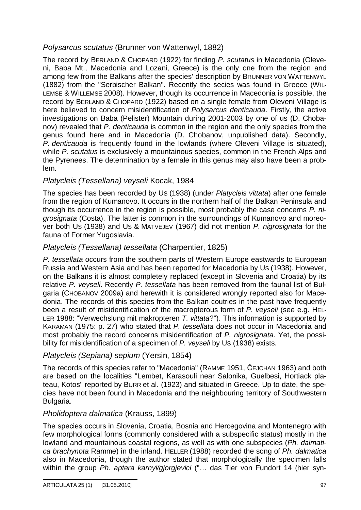## *Polysarcus scutatus* (Brunner von Wattenwyl, 1882)

The record by BERLAND & CHOPARD (1922) for finding *P. scutatus* in Macedonia (Oleveni, Baba Mt., Macedonia and Lozani, Greece) is the only one from the region and among few from the Balkans after the species' description by BRUNNER VON WATTENWYL (1882) from the "Serbischer Balkan". Recently the secies was found in Greece (WIL-LEMSE & WILLEMSE 2008). However, though its occurrence in Macedonia is possible, the record by BERLAND & CHOPARD (1922) based on a single female from Oleveni Village is here believed to concern misidentification of *Polysarcus denticauda*. Firstly, the active investigations on Baba (Pelister) Mountain during 2001-2003 by one of us (D. Chobanov) revealed that *P. denticauda* is common in the region and the only species from the genus found here and in Macedonia (D. Chobanov, unpublished data). Secondly, *P. denticauda* is frequently found in the lowlands (where Oleveni Village is situated), while *P. scutatus* is exclusively a mountainous species, common in the French Alps and the Pyrenees. The determination by a female in this genus may also have been a problem.

## *Platycleis (Tessellana) veyseli* Kocak, 1984

The species has been recorded by US (1938) (under *Platycleis vittata*) after one female from the region of Kumanovo. It occurs in the northern half of the Balkan Peninsula and though its occurrence in the region is possible, most probably the case concerns *P. nigrosignata* (Costa). The latter is common in the surroundings of Kumanovo and moreover both US (1938) and US & MATVEJEV (1967) did not mention *P. nigrosignata* for the fauna of Former Yugoslavia.

## *Platycleis (Tessellana) tessellata* (Charpentier, 1825)

*P. tessellata* occurs from the southern parts of Western Europe eastwards to European Russia and Western Asia and has been reported for Macedonia by US (1938). However, on the Balkans it is almost completely replaced (except in Slovenia and Croatia) by its relative *P. veyseli*. Recently *P. tessellata* has been removed from the faunal list of Bulgaria (CHOBANOV 2009a) and herewith it is considered wrongly reported also for Macedonia. The records of this species from the Balkan coutries in the past have frequently been a result of misidentification of the macropterous form of *P. veyseli* (see e.g. HEL-LER 1988: "Verwechslung mit makropteren *T. vittata*?"). This information is supported by KARAMAN (1975: p. 27) who stated that *P. tessellata* does not occur in Macedonia and most probably the record concerns misidentification of *P. nigrosignata*. Yet, the possibility for misidentification of a specimen of *P. veyseli* by US (1938) exists.

## *Platycleis (Sepiana) sepium* (Yersin, 1854)

The records of this species refer to "Macedonia" (RAMME 1951, ČEJCHAN 1963) and both are based on the localities "Lembet, Karasouli near Salonika, Guelbesi, Hortiack plateau, Kotos" reported by BURR et al. (1923) and situated in Greece. Up to date, the species have not been found in Macedonia and the neighbouring territory of Southwestern Bulgaria.

## *Pholidoptera dalmatica* (Krauss, 1899)

The species occurs in Slovenia, Croatia, Bosnia and Hercegovina and Montenegro with few morphological forms (commonly considered with a subspecific status) mostly in the lowland and mountainous coastal regions, as well as with one subspecies (*Ph. dalmatica brachynota* Ramme) in the inland. HELLER (1988) recorded the song of *Ph. dalmatica* also in Macedonia, though the author stated that morphologically the specimen falls within the group *Ph. aptera karnyi/gjorgjevici* ("… das Tier von Fundort 14 (hier syn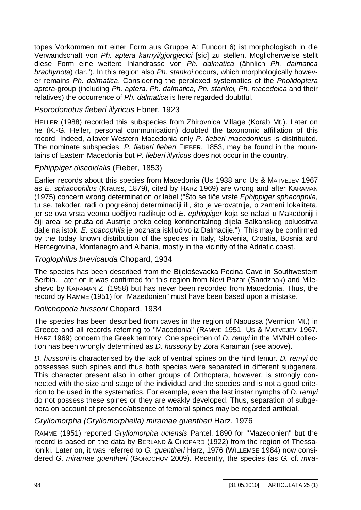topes Vorkommen mit einer Form aus Gruppe A: Fundort 6) ist morphologisch in die Verwandschaft von *Ph. aptera karnyi/gjorgjecici* [sic] zu stellen. Moglicherweise stellt diese Form eine weitere Inlandrasse von *Ph. dalmatica* (ähnlich *Ph. dalmatica brachynota*) dar."). In this region also *Ph. stankoi* occurs, which morphologically however remains *Ph. dalmatica*. Considering the perplexed systematics of the *Pholidoptera aptera*-group (including *Ph. aptera, Ph. dalmatica, Ph. stankoi, Ph. macedoica* and their relatives) the occurrence of *Ph. dalmatica* is here regarded doubtful.

## *Psorodonotus fieberi illyricus* Ebner, 1923

HELLER (1988) recorded this subspecies from Zhirovnica Village (Korab Mt.). Later on he (K.-G. Heller, personal communication) doubted the taxonomic affiliation of this record. Indeed, allover Western Macedonia only *P. fieberi macedonicus* is distributed. The nominate subspecies, *P. fieberi fieberi* FIEBER, 1853, may be found in the mountains of Eastern Macedonia but *P. fieberi illyricus* does not occur in the country.

### *Ephippiger discoidalis* (Fieber, 1853)

Earlier records about this species from Macedonia (US 1938 and US & MATVEJEV 1967 as *E. sphacophilus* (Krauss, 1879), cited by HARZ 1969) are wrong and after KARAMAN (1975) concern wrong determination or label ("Što se tiče vrste *Ephippiger sphacophila*, tu se, takoder, radi o pogreãnoj determinaciji ili, ãto je verovatnije, o zameni lokaliteta, jer se ova vrsta veoma uočljivo razlikuje od *E. ephippiger* koja se nalazi u Makedoniji i þiji areal se pruåa od Austrije preko celog kontinentalnog dijela Balkanskog poluostrva dalje na istok. *E. spacophila* je poznata isključivo iz Dalmacije."). This may be confirmed by the today known distribution of the species in Italy, Slovenia, Croatia, Bosnia and Hercegovina, Montenegro and Albania, mostly in the vicinity of the Adriatic coast.

## *Troglophilus brevicauda* Chopard, 1934

The species has been described from the Bijeloãevacka Pecina Cave in Southwestern Serbia. Later on it was confirmed for this region from Novi Pazar (Sandzhak) and Mileshevo by KARAMAN Z. (1958) but has never been recorded from Macedonia. Thus, the record by RAMME (1951) for "Mazedonien" must have been based upon a mistake.

### *Dolichopoda hussoni* Chopard, 1934

The species has been described from caves in the region of Naoussa (Vermion Mt.) in Greece and all records referring to "Macedonia" (RAMME 1951, US & MATVEJEV 1967, HARZ 1969) concern the Greek territory. One specimen of *D. remyi* in the MMNH collection has been wrongly determined as *D. hussony* by Zora Karaman (see above).

*D. hussoni* is characterised by the lack of ventral spines on the hind femur. *D. remyi* do possesses such spines and thus both species were separated in different subgenera. This character present also in other groups of Orthoptera, however, is strongly connected with the size and stage of the individual and the species and is not a good criterion to be used in the systematics. For example, even the last instar nymphs of *D. remyi* do not possess these spines or they are weakly developed. Thus, separation of subgenera on account of presence/absence of femoral spines may be regarded artificial.

## *Gryllomorpha (Gryllomorphella) miramae guentheri* Harz, 1976

RAMME (1951) reported *Gryllomorpha uclensis* Pantel, 1890 for "Mazedonien" but the record is based on the data by BERLAND & CHOPARD (1922) from the region of Thessaloniki. Later on, it was referred to *G. guentheri* Harz, 1976 (WILLEMSE 1984) now considered *G. miramae guentheri* (GOROCHOV 2009). Recently, the species (as *G.* cf. *mira-*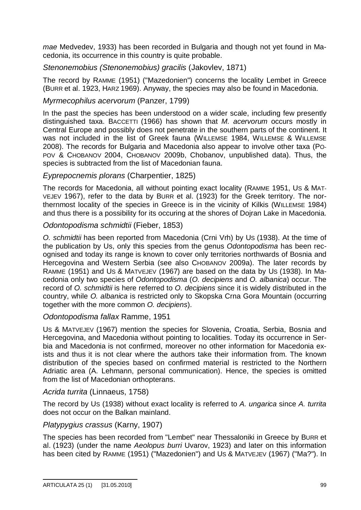*mae* Medvedev, 1933) has been recorded in Bulgaria and though not yet found in Macedonia, its occurrence in this country is quite probable.

*Stenonemobius (Stenonemobius) gracilis* (Jakovlev, 1871)

The record by RAMME (1951) ("Mazedonien") concerns the locality Lembet in Greece (BURR et al. 1923, HARZ 1969). Anyway, the species may also be found in Macedonia.

## *Myrmecophilus acervorum* (Panzer, 1799)

In the past the species has been understood on a wider scale, including few presently distinguished taxa. BACCETTI (1966) has shown that *M. acervorum* occurs mostly in Central Europe and possibly does not penetrate in the southern parts of the continent. It was not included in the list of Greek fauna (WILLEMSE 1984, WILLEMSE & WILLEMSE 2008). The records for Bulgaria and Macedonia also appear to involve other taxa (PO-POV & CHOBANOV 2004, CHOBANOV 2009b, Chobanov, unpublished data). Thus, the species is subtracted from the list of Macedonian fauna.

## *Eyprepocnemis plorans* (Charpentier, 1825)

The records for Macedonia, all without pointing exact locality (RAMME 1951, US & MAT-VEJEV 1967), refer to the data by BURR et al. (1923) for the Greek territory. The northernmost locality of the species in Greece is in the vicinity of Kilkis (WILLEMSE 1984) and thus there is a possibility for its occuring at the shores of Dojran Lake in Macedonia.

## *Odontopodisma schmidtii* (Fieber, 1853)

*O. schmidtii* has been reported from Macedonia (Crni Vrh) by US (1938). At the time of the publication by Us, only this species from the genus *Odontopodisma* has been recognised and today its range is known to cover only territories northwards of Bosnia and Hercegovina and Western Serbia (see also CHOBANOV 2009a). The later records by RAMME (1951) and US & MATVEJEV (1967) are based on the data by US (1938). In Macedonia only two species of *Odontopodisma* (*O. decipiens* and *O. albanica*) occur. The record of *O. schmidtii* is here referred to *O. decipiens* since it is widely distributed in the country, while *O. albanica* is restricted only to Skopska Crna Gora Mountain (occurring together with the more common *O. decipiens*).

## *Odontopodisma fallax* Ramme, 1951

US & MATVEJEV (1967) mention the species for Slovenia, Croatia, Serbia, Bosnia and Hercegovina, and Macedonia without pointing to localities. Today its occurrence in Serbia and Macedonia is not confirmed, moreover no other information for Macedonia exists and thus it is not clear where the authors take their information from. The known distribution of the species based on confirmed material is restricted to the Northern Adriatic area (A. Lehmann, personal communication). Hence, the species is omitted from the list of Macedonian orthopterans.

## *Acrida turrita* (Linnaeus, 1758)

The record by US (1938) without exact locality is referred to *A. ungarica* since *A. turrita* does not occur on the Balkan mainland.

## *Platypygius crassus* (Karny, 1907)

The species has been recorded from "Lembet" near Thessaloniki in Greece by BURR et al. (1923) (under the name *Aeolopus burri* Uvarov, 1923) and later on this information has been cited by RAMME (1951) ("Mazedonien") and US & MATVEJEV (1967) ("Ma?"). In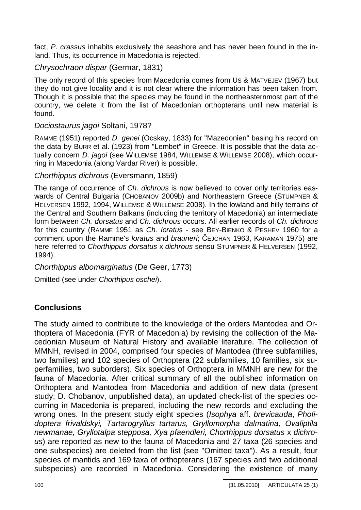fact, *P. crassus* inhabits exclusively the seashore and has never been found in the inland. Thus, its occurrence in Macedonia is rejected.

## *Chrysochraon dispar* (Germar, 1831)

The only record of this species from Macedonia comes from US & MATVEJEV (1967) but they do not give locality and it is not clear where the information has been taken from. Though it is possible that the species may be found in the northeasternmost part of the country, we delete it from the list of Macedonian orthopterans until new material is found.

## *Dociostaurus jagoi* Soltani, 1978?

RAMME (1951) reported *D. genei* (Ocskay, 1833) for "Mazedonien" basing his record on the data by BURR et al. (1923) from "Lembet" in Greece. It is possible that the data actually concern *D. jagoi* (see WILLEMSE 1984, WILLEMSE & WILLEMSE 2008), which occurring in Macedonia (along Vardar River) is possible.

## *Chorthippus dichrous* (Eversmann, 1859)

The range of occurrence of *Ch. dichrous* is now believed to cover only territories easwards of Central Bulgaria (CHOBANOV 2009b) and Northeastern Greece (STUMPNER & HELVERSEN 1992, 1994, WILLEMSE & WILLEMSE 2008). In the lowland and hilly terrains of the Central and Southern Balkans (including the territory of Macedonia) an intermediate form between *Ch. dorsatus* and *Ch. dichrous* occurs. All earlier records of *Ch. dichrous* for this country (RAMME 1951 as *Ch. loratus* - see BEY-BIENKO & PESHEV 1960 for a comment upon the Ramme's *loratus* and *brauneri*; ýEJCHAN 1963, KARAMAN 1975) are here referred to *Chorthippus dorsatus* x *dichrous* sensu STUMPNER & HELVERSEN (1992, 1994).

*Chorthippus albomarginatus* (De Geer, 1773)

Omitted (see under *Chorthipus oschei*).

# **Conclusions**

The study aimed to contribute to the knowledge of the orders Mantodea and Orthoptera of Macedonia (FYR of Macedonia) by revising the collection of the Macedonian Museum of Natural History and available literature. The collection of MMNH, revised in 2004, comprised four species of Mantodea (three subfamilies, two families) and 102 species of Orthoptera (22 subfamilies, 10 families, six superfamilies, two suborders). Six species of Orthoptera in MMNH are new for the fauna of Macedonia. After critical summary of all the published information on Orthoptera and Mantodea from Macedonia and addition of new data (present study; D. Chobanov, unpublished data), an updated check-list of the species occurring in Macedonia is prepared, including the new records and excluding the wrong ones. In the present study eight species (*Isophya* aff. *brevicauda*, *Pholidoptera frivaldskyi, Tartarogryllus tartarus, Gryllomorpha dalmatina, Ovaliptila newmanae, Gryllotalpa stepposa, Xya pfaendleri, Chorthippus dorsatus* x *dichrous*) are reported as new to the fauna of Macedonia and 27 taxa (26 species and one subspecies) are deleted from the list (see "Omitted taxa"). As a result, four species of mantids and 169 taxa of orthopterans (167 species and two additional subspecies) are recorded in Macedonia. Considering the existence of many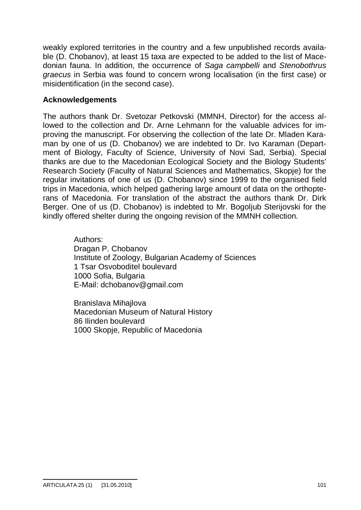weakly explored territories in the country and a few unpublished records available (D. Chobanov), at least 15 taxa are expected to be added to the list of Macedonian fauna. In addition, the occurrence of *Saga campbelli* and *Stenobothrus graecus* in Serbia was found to concern wrong localisation (in the first case) or misidentification (in the second case).

## **Acknowledgements**

The authors thank Dr. Svetozar Petkovski (MMNH, Director) for the access allowed to the collection and Dr. Arne Lehmann for the valuable advices for improving the manuscript. For observing the collection of the late Dr. Mladen Karaman by one of us (D. Chobanov) we are indebted to Dr. Ivo Karaman (Department of Biology, Faculty of Science, University of Novi Sad, Serbia). Special thanks are due to the Macedonian Ecological Society and the Biology Students' Research Society (Faculty of Natural Sciences and Mathematics, Skopje) for the regular invitations of one of us (D. Chobanov) since 1999 to the organised field trips in Macedonia, which helped gathering large amount of data on the orthopterans of Macedonia. For translation of the abstract the authors thank Dr. Dirk Berger. One of us (D. Chobanov) is indebted to Mr. Bogoljub Sterijovski for the kindly offered shelter during the ongoing revision of the MMNH collection.

> Authors: Dragan P. Chobanov Institute of Zoology, Bulgarian Academy of Sciences 1 Tsar Osvoboditel boulevard 1000 Sofia, Bulgaria E-Mail: [dchobanov@gmail.com](mailto:dchobanov@gmail.com)

Branislava Mihajlova Macedonian Museum of Natural History 86 Ilinden boulevard 1000 Skopje, Republic of Macedonia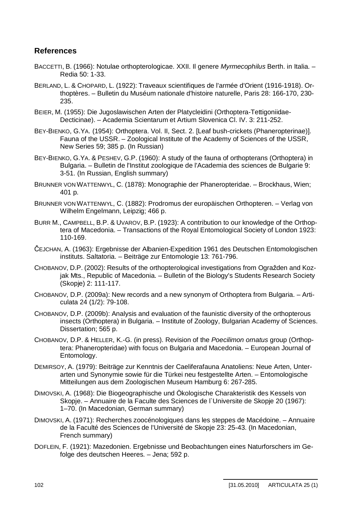## **References**

- BACCETTI, B. (1966): Notulae orthopterologicae. XXII. Il genere *Myrmecophilus* Berth. in Italia. Redia 50: 1-33.
- BERLAND, L. & CHOPARD, L. (1922): Traveaux scientifiques de l'armée d'Orient (1916-1918). Orthoptères. – Bulletin du Muséum nationale d'histoire naturelle, Paris 28: 166-170, 230- 235.
- BEIER, M. (1955): Die Jugoslawischen Arten der Platycleidini (Orthoptera-Tettigoniidae-Decticinae). – Academia Scientarum et Artium Slovenica Cl. IV. 3: 211-252.
- BEY-BIENKO, G.YA. (1954): Orthoptera. Vol. II, Sect. 2. [Leaf bush-crickets (Phaneropterinae)]. Fauna of the USSR. – Zoological Institute of the Academy of Sciences of the USSR, New Series 59; 385 p. (In Russian)
- BEY-BIENKO, G.YA. & PESHEV, G.P. (1960): A study of the fauna of orthopterans (Orthoptera) in Bulgaria. – Bulletin de l'Institut zoologique de l'Academia des sciences de Bulgarie 9: 3-51. (In Russian, English summary)
- BRUNNER VON WATTENWYL, C. (1878): Monographie der Phaneropteridae. Brockhaus, Wien; 401 p.
- BRUNNER VON WATTENWYL, C. (1882): Prodromus der europäischen Orthopteren. Verlag von Wilhelm Engelmann, Leipzig; 466 p.
- BURR M., CAMPBELL, B.P. & UVAROV, B.P. (1923): A contribution to our knowledge of the Orthoptera of Macedonia. – Transactions of the Royal Entomological Society of London 1923: 110-169.
- ýEJCHAN, A. (1963): Ergebnisse der Albanien-Expedition 1961 des Deutschen Entomologischen instituts. Saltatoria. – Beiträge zur Entomologie 13: 761-796.
- CHOBANOV, D.P. (2002): Results of the orthopterological investigations from Ograåden and Kozjak Mts., Republic of Macedonia. – Bulletin of the Biology's Students Research Society (Skopje) 2: 111-117.
- CHOBANOV, D.P. (2009a): New records and a new synonym of Orthoptera from Bulgaria. Articulata 24 (1/2): 79-108.
- CHOBANOV, D.P. (2009b): Analysis and evaluation of the faunistic diversity of the orthopterous insects (Orthoptera) in Bulgaria. – Institute of Zoology, Bulgarian Academy of Sciences. Dissertation; 565 p.
- CHOBANOV, D.P. & HELLER, K.-G. (in press). Revision of the *Poecilimon ornatus* group (Orthoptera: Phaneropteridae) with focus on Bulgaria and Macedonia. – European Journal of Entomology.
- DEMIRSOY, A. (1979): Beiträge zur Kenntnis der Caeliferafauna Anatoliens: Neue Arten, Unterarten und Synonymie sowie für die Türkei neu festgestellte Arten. – Entomologische Mitteilungen aus dem Zoologischen Museum Hamburg 6: 267-285.
- DIMOVSKI, A. (1968): Die Biogeographische und Ökologische Charakteristik des Kessels von Skopje. – Annuaire de la Faculte des Sciences de l`Universite de Skopje 20 (1967): 1–70. (In Macedonian, German summary)
- DIMOVSKI, A. (1971): Recherches zoocénologiques dans les steppes de Macédoine. Annuaire de la Faculté des Sciences de l'Université de Skopje 23: 25-43. (In Macedonian, French summary)
- DOFLEIN, F. (1921): Mazedonien. Ergebnisse und Beobachtungen eines Naturforschers im Gefolge des deutschen Heeres. – Jena; 592 p.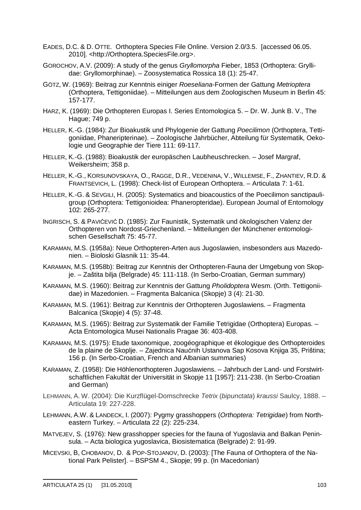- EADES, D.C. & D. OTTE. Orthoptera Species File Online. Version 2.0/3.5. [accessed 06.05. 2010]. [<http://Orthoptera.SpeciesFile.org](http://Orthoptera.SpeciesFile.org)>.
- GOROCHOV, A.V. (2009): A study of the genus *Gryllomorpha* Fieber, 1853 (Orthoptera: Gryllidae: Gryllomorphinae). – Zoosystematica Rossica 18 (1): 25-47.
- GÖTZ, W. (1969): Beitrag zur Kenntnis einiger *Roeseliana*-Formen der Gattung *Metrioptera* (Orthoptera, Tettigoniidae). – Mitteilungen aus dem Zoologischen Museum in Berlin 45: 157-177.
- HARZ, K. (1969): Die Orthopteren Europas I. Series Entomologica 5. Dr. W. Junk B. V., The Hague; 749 p.
- HELLER, K.-G. (1984): Zur Bioakustik und Phylogenie der Gattung *Poecilimon* (Orthoptera, Tettigoniidae, Phaneripterinae). – Zoologische Jahrbücher, Abteilung für Systematik, Oekologie und Geographie der Tiere 111: 69-117.
- HELLER, K.-G. (1988): Bioakustik der europäschen Laubheuschrecken. Josef Margraf, Weikersheim; 358 p.
- HELLER, K.-G., KORSUNOVSKAYA, O., RAGGE, D.R., VEDENINA, V., WILLEMSE, F., ZHANTIEV, R.D. & FRANTSEVICH, L. (1998): Check-list of European Orthoptera. – Articulata 7: 1-61.
- HELLER, K.-G. & SEVGILI, H. (2005): Systematics and bioacoustics of the Poecilimon sanctipauligroup (Orthoptera: Tettigonioidea: Phaneropteridae). European Journal of Entomology 102: 265-277.
- INGRISCH, S. & PAVIĆEVIĆ D. (1985): Zur Faunistik, Systematik und ökologischen Valenz der Orthopteren von Nordost-Griechenland. – Mitteilungen der Münchener entomologischen Gesellschaft 75: 45-77.
- KARAMAN, M.S. (1958a): Neue Orthopteren-Arten aus Jugoslawien, insbesonders aus Mazedonien. – Bioloski Glasnik 11: 35-44.
- KARAMAN, M.S. (1958b): Beitrag zur Kenntnis der Orthopteren-Fauna der Umgebung von Skopje. – Zaãtita bilja (Belgrade) 45: 111-118. (In Serbo-Croatian, German summary)
- KARAMAN, M.S. (1960): Beitrag zur Kenntnis der Gattung *Pholidoptera* Wesm. (Orth. Tettigoniidae) in Mazedonien. – Fragmenta Balcanica (Skopje) 3 (4): 21-30.
- KARAMAN, M.S. (1961): Beitrag zur Kenntnis der Orthopteren Jugoslawiens. Fragmenta Balcanica (Skopje) 4 (5): 37-48.
- KARAMAN, M.S. (1965): Beitrag zur Systematik der Familie Tetrigidae (Orthoptera) Europas. Acta Entomologica Musei Nationalis Pragae 36: 403-408.
- KARAMAN, M.S. (1975): Etude taxonomique, zoogéographique et ékologique des Orthopteroides de la plaine de Skoplje. – Zajednica Naućnih Ustanova Sap Kosova Knjiga 35, Priština; 156 p. (In Serbo-Croatian, French and Albanian summaries)
- KARAMAN, Z. (1958): Die Höhlenorthopteren Jugoslawiens. Jahrbuch der Land- und Forstwirtschaftlichen Fakultät der Universität in Skopje 11 [1957]: 211-238. (In Serbo-Croatian and German)
- LEHMANN, A. W. (2004): Die Kurzflügel-Dornschrecke *Tetrix* (*bipunctata*) *kraussi* Saulcy, 1888. Articulata 19: 227-228.
- LEHMANN, A.W. & LANDECK, I. (2007): Pygmy grasshoppers (*Orthoptera: Tetrigidae*) from Northeastern Turkey. – Articulata 22 (2): 225-234.
- MATVEJEV, S. (1976): New grasshopper species for the fauna of Yugoslavia and Balkan Peninsula. – Acta biologica yugoslavica, Biosistematica (Belgrade) 2: 91-99.
- MICEVSKI, B, CHOBANOV, D. & POP-STOJANOV, D. (2003): [The Fauna of Orthoptera of the National Park Pelister]. – BSPSM 4., Skopje; 99 p. (In Macedonian)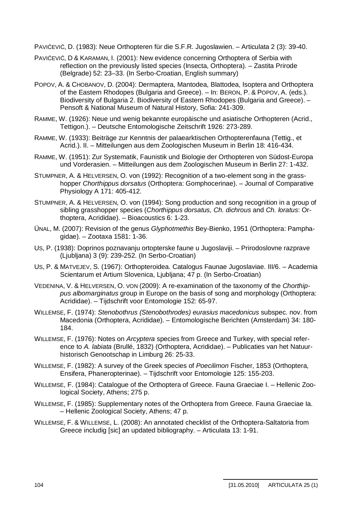PAVIĆEVIĆ, D. (1983): Neue Orthopteren für die S.F.R. Jugoslawien. – Articulata 2 (3): 39-40.

- PAVIĆEVIĆ, D & KARAMAN, I. (2001): New evidence concerning Orthoptera of Serbia with reflection on the previously listed species (Insecta, Orthoptera). – Zastita Prirode (Belgrade) 52: 23–33. (In Serbo-Croatian, English summary)
- POPOV, A. & CHOBANOV, D. (2004): Dermaptera, Mantodea, Blattodea, Isoptera and Orthoptera of the Eastern Rhodopes (Bulgaria and Greece). – In: BERON, P. & POPOV, A. (eds.). Biodiversity of Bulgaria 2. Biodiversity of Eastern Rhodopes (Bulgaria and Greece). – Pensoft & National Museum of Natural History, Sofia: 241-309.
- RAMME, W. (1926): Neue und wenig bekannte europäische und asiatische Orthopteren (Acrid., Tettigon.). – Deutsche Entomologische Zeitschrift 1926: 273-289.
- RAMME, W. (1933): Beiträge zur Kenntnis der palaearktischen Orthopterenfauna (Tettig., et Acrid.). II. – Mitteilungen aus dem Zoologischen Museum in Berlin 18: 416-434.
- RAMME, W. (1951): Zur Systematik, Faunistik und Biologie der Orthopteren von Südost-Europa und Vorderasien. – Mitteilungen aus dem Zoologischen Museum in Berlin 27: 1-432.
- STUMPNER, A. & HELVERSEN, O. von (1992): Recognition of a two-element song in the grasshopper *Chorthippus dorsatus* (Orthoptera: Gomphocerinae). – Journal of Comparative Physiology A 171: 405-412.
- STUMPNER, A. & HELVERSEN, O. von (1994): Song production and song recognition in a group of sibling grasshopper species (*Chorthippus dorsatus, Ch. dichrous* and *Ch. loratus*: Orthoptera, Acrididae). – Bioacoustics 6: 1-23.
- ÜNAL, M. (2007): Revision of the genus *Glyphotmethis* Bey-Bienko, 1951 (Orthoptera: Pamphagidae). – Zootaxa 1581: 1-36.
- US, P. (1938): Doprinos poznavanju ortopterske faune u Jugoslaviji. Prirodoslovne razprave (Ljubljana) 3 (9): 239-252. (In Serbo-Croatian)
- US, P. & MATVEJEV, S. (1967): Orthopteroidea. Catalogus Faunae Jugoslaviae. III/6. Academia Scientarum et Artium Slovenica, Ljubljana; 47 p. (In Serbo-Croatian)
- VEDENINA, V. & HELVERSEN, O. VON (2009): A re-examination of the taxonomy of the *Chorthippus albomarginatus* group in Europe on the basis of song and morphology (Orthoptera: Acrididae). – Tijdschrift voor Entomologie 152: 65-97.
- WILLEMSE, F. (1974): *Stenobothrus (Stenobothrodes) eurasius macedonicus* subspec. nov. from Macedonia (Orthoptera, Acrididae). – Entomologische Berichten (Amsterdam) 34: 180- 184.
- WILLEMSE, F. (1976): Notes on *Arcyptera* species from Greece and Turkey, with special reference to *A. labiata* (Brullé, 1832) (Orthoptera, Acrididae). – Publicaties van het Natuurhistorisch Genootschap in Limburg 26: 25-33.
- WILLEMSE, F. (1982): A survey of the Greek species of *Poecilimon* Fischer, 1853 (Orthoptera, Ensifera, Phaneropterinae). – Tijdschrift voor Entomologie 125: 155-203.
- WILLEMSE, F. (1984): Catalogue of the Orthoptera of Greece. Fauna Graeciae I. Hellenic Zoological Society, Athens; 275 p.
- WILLEMSE, F. (1985): Supplementary notes of the Orthoptera from Greece. Fauna Graeciae Ia. – Hellenic Zoological Society, Athens; 47 p.
- WILLEMSE, F. & WILLEMSE, L. (2008): An annotated checklist of the Orthoptera-Saltatoria from Greece includig [sic] an updated bibliography. – Articulata 13: 1-91.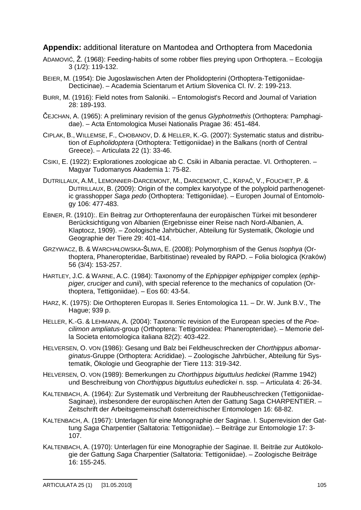### **Appendix:** additional literature on Mantodea and Orthoptera from Macedonia

- ADAMOVIĆ, Ž. (1968): Feeding-habits of some robber flies preying upon Orthoptera. Ecologija 3 (1/2): 119-132.
- BEIER, M. (1954): Die Jugoslawischen Arten der Pholidopterini (Orthoptera-Tettigoniidae-Decticinae). – Academia Scientarum et Artium Slovenica Cl. IV. 2: 199-213.
- BURR, M. (1916): Field notes from Saloniki. Entomologist's Record and Journal of Variation 28: 189-193.
- ýEJCHAN, A. (1965): A preliminary revision of the genus *Glyphotmethis* (Orthoptera: Pamphagidae). – Acta Entomologica Musei Nationalis Pragae 36: 451-484.
- CIPLAK, B., WILLEMSE, F., CHOBANOV, D. & HELLER, K.-G. (2007): Systematic status and distribution of *Eupholidoptera* (Orthoptera: Tettigoniidae) in the Balkans (north of Central Greece). – Articulata 22 (1): 33-46.
- CSIKI, E. (1922): Explorationes zoologicae ab C. Csiki in Albania peractae. VI. Orthopteren. Magyar Tudomanyos Akademia 1: 75-82.
- DUTRILLAUX, A.M., LEMONNIER-DARCEMONT, M., DARCEMONT, C., KRPAČ, V., FOUCHET, P. & DUTRILLAUX, B. (2009): Origin of the complex karyotype of the polyploid parthenogenetic grasshopper *Saga pedo* (Orthoptera: Tettigoniidae). – Europen Journal of Entomology 106: 477-483.
- EBNER, R. (1910):. Ein Beitrag zur Orthopterenfauna der europäischen Türkei mit besonderer Berücksichtigung von Albanien (Ergebnisse einer Reise nach Nord-Albanien, A. Klaptocz, 1909). – Zoologische Jahrbücher, Abteilung für Systematik, Ökologie und Geographie der Tiere 29: 401-414.
- GRZYWACZ, B. & WARCHAŁOWSKA-ŚLIWA, E. (2008): Polymorphism of the Genus *Isophya* (Orthoptera, Phaneropteridae, Barbitistinae) revealed by RAPD. – Folia biologica (Kraków) 56 (3/4): 153-257.
- HARTLEY, J.C. & WARNE, A.C. (1984): Taxonomy of the *Ephippiger ephippiger* complex (*ephippiger, cruciger* and *cunii*), with special reference to the mechanics of copulation (Orthoptera, Tettigoniidae). – Eos 60: 43-54.
- HARZ, K. (1975): Die Orthopteren Europas II. Series Entomologica 11. Dr. W. Junk B.V., The Hague; 939 p.
- HELLER, K.-G. & LEHMANN, A. (2004): Taxonomic revision of the European species of the *Poecilimon ampliatus*-group (Orthoptera: Tettigonioidea: Phaneropteridae). – Memorie della Societa entomologica italiana 82(2): 403-422.
- HELVERSEN, O. VON (1986): Gesang und Balz bei Feldheuschrecken der *Chorthippus albomarginatus*-Gruppe (Orthoptera: Acrididae). – Zoologische Jahrbücher, Abteilung für Systematik, Ökologie und Geographie der Tiere 113: 319-342.
- HELVERSEN, O. VON (1989): Bemerkungen zu *Chorthippus biguttulus hedickei* (Ramme 1942) und Beschreibung von *Chorthippus biguttulus euhedickei* n. ssp. – Articulata 4: 26-34.
- KALTENBACH, A. (1964): Zur Systematik und Verbreitung der Raubheuschrecken (Tettigoniidae-Saginae), insbesondere der europäischen Arten der Gattung Saga CHARPENTIER. – Zeitschrift der Arbeitsgemeinschaft österreichischer Entomologen 16: 68-82.
- KALTENBACH, A. (1967): Unterlagen für eine Monographie der Saginae. I. Superrevision der Gattung *Saga* Charpentier (Saltatoria: Tettigoniidae). – Beiträge zur Entomologie 17: 3- 107.
- KALTENBACH, A. (1970): Unterlagen für eine Monographie der Saginae. II. Beiträe zur Autökologie der Gattung *Saga* Charpentier (Saltatoria: Tettigoniidae). – Zoologische Beiträge 16: 155-245.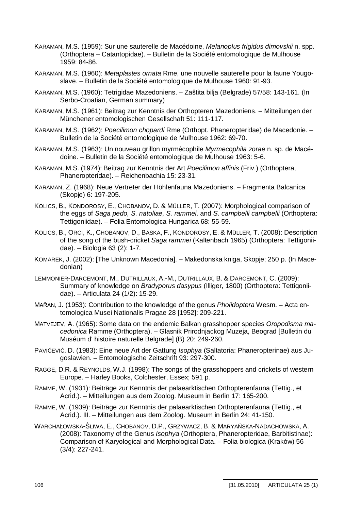- KARAMAN, M.S. (1959): Sur une sauterelle de Macédoine, *Melanoplus frigidus dimovskii* n. spp. (Orthoptera – Catantopidae). – Bulletin de la Société entomologique de Mulhouse 1959: 84-86.
- KARAMAN, M.S. (1960): *Metaplastes ornata* Rme, une nouvelle sauterelle pour la faune Yougoslave. – Bulletin de la Société entomologique de Mulhouse 1960: 91-93.
- KARAMAN, M.S. (1960): Tetrigidae Mazedoniens. Zaãtita bilja (Belgrade) 57/58: 143-161. (In Serbo-Croatian, German summary)
- KARAMAN, M.S. (1961): Beitrag zur Kenntnis der Orthopteren Mazedoniens. Mitteilungen der Münchener entomologischen Gesellschaft 51: 111-117.
- KARAMAN, M.S. (1962): *Poecilimon chopardi* Rme (Orthopt. Phaneropteridae) de Macedonie. Bulletin de la Société entomologique de Mulhouse 1962: 69-70.
- KARAMAN, M.S. (1963): Un nouveau grillon myrmécophile *Myrmecophila zorae* n. sp. de Macédoine. – Bulletin de la Société entomologique de Mulhouse 1963: 5-6.
- KARAMAN, M.S. (1974): Beitrag zur Kenntnis der Art *Poecilimon affinis* (Friv.) (Orthoptera, Phaneropteridae). – Reichenbachia 15: 23-31.
- KARAMAN, Z. (1968): Neue Vertreter der Höhlenfauna Mazedoniens. Fragmenta Balcanica (Skopje) 6: 197-205.
- KOLICS, B., KONDOROSY, E., CHOBANOV, D. & MÜLLER, T. (2007): Morphological comparison of the eggs of *Saga pedo, S. natoliae, S. rammei,* and *S. campbelli campbelli* (Orthoptera: Tettigoniidae). – Folia Entomologica Hungarica 68: 55-59.
- KOLICS, B., ORCI, K., CHOBANOV, D., BASKA, F., KONDOROSY, E. & MÜLLER, T. (2008): Description of the song of the bush-cricket *Saga rammei* (Kaltenbach 1965) (Orthoptera: Tettigoniidae). – Biologia 63 (2): 1-7.
- KOMAREK, J. (2002): [The Unknown Macedonia]. Makedonska kniga, Skopje; 250 p. (In Macedonian)
- LEMMONIER-DARCEMONT, M., DUTRILLAUX, A.-M., DUTRILLAUX, B. & DARCEMONT, C. (2009): Summary of knowledge on *Bradyporus dasypus* (Illiger, 1800) (Orthoptera: Tettigoniidae). – Articulata 24 (1/2): 15-29.
- MAŘAN, J. (1953): Contribution to the knowledge of the genus *Pholidoptera* Wesm. Acta entomologica Musei Nationalis Pragae 28 [1952]: 209-221.
- MATVEJEV, A. (1965): Some data on the endemic Balkan grasshopper species *Oropodisma macedonica* Ramme (Orthoptera). – Glasnik Prirodnjackog Muzeja, Beograd [Bulletin du Muséum d' histoire naturelle Belgrade] (B) 20: 249-260.
- PAVIĆEVIĆ, D. (1983): Eine neue Art der Gattung *Isophya* (Saltatoria: Phaneropterinae) aus Jugoslawien. – Entomologische Zeitschrift 93: 297-300.
- RAGGE, D.R. & REYNOLDS, W.J. (1998): The songs of the grasshoppers and crickets of western Europe. – Harley Books, Colchester, Essex; 591 p.
- RAMME, W. (1931): Beiträge zur Kenntnis der palaearktischen Orthopterenfauna (Tettig., et Acrid.). – Mitteilungen aus dem Zoolog. Museum in Berlin 17: 165-200.
- RAMME, W. (1939): Beiträge zur Kenntnis der palaearktischen Orthopterenfauna (Tettig., et Acrid.). III. – Mitteilungen aus dem Zoolog. Museum in Berlin 24: 41-150.
- WARCHAŁOWSKA-ŚLIWA, E., CHOBANOV, D.P., GRZYWACZ, B. & MARYAŃSKA-NADACHOWSKA, A. (2008): Taxonomy of the Genus *Isophya* (Orthoptera, Phaneropteridae, Barbitistinae): Comparison of Karyological and Morphological Data. – Folia biologica (Kraków) 56 (3/4): 227-241.